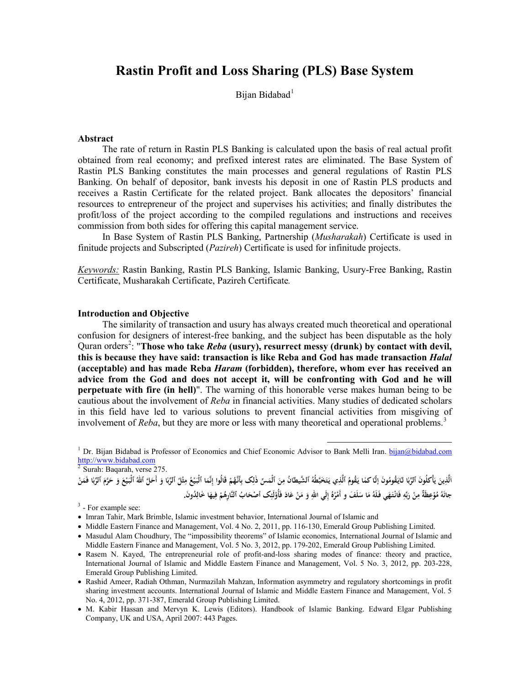# **Rastin Profit and Loss Sharing (PLS) Base System**

Bijan Bidabad<sup>[1](#page-0-0)</sup>

#### **Abstract**

The rate of return in Rastin PLS Banking is calculated upon the basis of real actual profit obtained from real economy; and prefixed interest rates are eliminated. The Base System of Rastin PLS Banking constitutes the main processes and general regulations of Rastin PLS Banking. On behalf of depositor, bank invests his deposit in one of Rastin PLS products and receives a Rastin Certificate for the related project. Bank allocates the depositors' financial resources to entrepreneur of the project and supervises his activities; and finally distributes the profit/loss of the project according to the compiled regulations and instructions and receives commission from both sides for offering this capital management service.

In Base System of Rastin PLS Banking, Partnership (*Musharakah*) Certificate is used in finitude projects and Subscripted (*Pazireh*) Certificate is used for infinitude projects.

*Keywords:* Rastin Banking, Rastin PLS Banking, Islamic Banking, Usury-Free Banking, Rastin Certificate, Musharakah Certificate, Pazireh Certificate*.*

# **Introduction and Objective**

The similarity of transaction and usury has always created much theoretical and operational confusion for designers of interest-free banking, and the subject has been disputable as the holy Quran orders<sup>[2](#page-0-1)</sup>: "Those who take *Reba* (usury), resurrect messy (drunk) by contact with devil, **this is because they have said: transaction is like Reba and God has made transaction** *Halal* **(acceptable) and has made Reba** *Haram* **(forbidden), therefore, whom ever has received an advice from the God and does not accept it, will be confronting with God and he will perpetuate with fire (in hell)**". The warning of this honorable verse makes human being to be cautious about the involvement of *Reba* in financial activities. Many studies of dedicated scholars in this field have led to various solutions to prevent financial activities from misgiving of involvement of *Reba*, but they are more or less with many theoretical and operational problems. [3](#page-0-2)

<span id="page-0-0"></span><sup>1</sup> Dr. Bijan Bidabad is Professor of Economics and Chief Economic Advisor to Bank Melli Iran. [bijan@bidabad.com](mailto:bijan@bidabad.com) [http://www.bidabad.com](http://www.bidabad.com/)

l

<span id="page-0-1"></span> $2$  Surah: Baqarah, verse 275.

اَلَّذِينَ يَأْكَلُونَ ٱلرَّبٰا لايَقُومُونَ إلَّا كما يَقُومُ ٱلَّذِي يَتَخَبَّطُهُ ٱلشَّيطانُ مِنَ ٱلْمَسِّ ذٰلِک بِأَنَّهُمْ قَالُوا إِنَّمَا ٱلْبَيْعُ مِثْلُ ٱلرِّبَا وَ أَحَلَّ ٱللهُ ٱلْبَيْعَ وَ حَرَّمَ ٱلرِّبا فَمَن **ِ َ َ َ ِ َ** جانَهُ مُؤْعِظَةٌ مِنْ رَبِّهِ فَانْتَهَي فَلَهُ مَا سَلَفَ و أَمْرُهُ إِلَى اللهِ وَ مَنْ عَادَ فَأُوْلَئِك أصْحَابُ ٱلنَّارِهُمْ فِيهَا خٰالِدُونَ **ِْ َ**

<span id="page-0-2"></span>**مُ . <sup>ه</sup>** <sup>3</sup> - For example see:

- Imran Tahir, Mark Brimble, Islamic investment behavior, International Journal of Islamic and
- Middle Eastern Finance and Management, Vol. 4 No. 2, 2011, pp. 116-130, Emerald Group Publishing Limited.
- Masudul Alam Choudhury, The "impossibility theorems" of Islamic economics, International Journal of Islamic and Middle Eastern Finance and Management, Vol. 5 No. 3, 2012, pp. 179-202, Emerald Group Publishing Limited.
- Rasem N. Kayed, The entrepreneurial role of profit-and-loss sharing modes of finance: theory and practice, International Journal of Islamic and Middle Eastern Finance and Management, Vol. 5 No. 3, 2012, pp. 203-228, Emerald Group Publishing Limited.
- Rashid Ameer, Radiah Othman, Nurmazilah Mahzan, Information asymmetry and regulatory shortcomings in profit sharing investment accounts. International Journal of Islamic and Middle Eastern Finance and Management, Vol. 5 No. 4, 2012, pp. 371-387, Emerald Group Publishing Limited.
- M. Kabir Hassan and Mervyn K. Lewis (Editors). Handbook of Islamic Banking. Edward Elgar Publishing Company, UK and USA, April 2007: 443 Pages.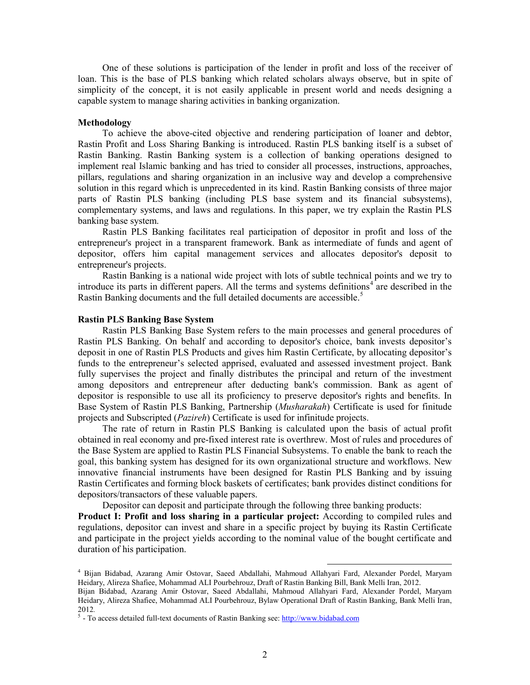One of these solutions is participation of the lender in profit and loss of the receiver of loan. This is the base of PLS banking which related scholars always observe, but in spite of simplicity of the concept, it is not easily applicable in present world and needs designing a capable system to manage sharing activities in banking organization.

#### **Methodology**

To achieve the above-cited objective and rendering participation of loaner and debtor, Rastin Profit and Loss Sharing Banking is introduced. Rastin PLS banking itself is a subset of Rastin Banking. Rastin Banking system is a collection of banking operations designed to implement real Islamic banking and has tried to consider all processes, instructions, approaches, pillars, regulations and sharing organization in an inclusive way and develop a comprehensive solution in this regard which is unprecedented in its kind. Rastin Banking consists of three major parts of Rastin PLS banking (including PLS base system and its financial subsystems), complementary systems, and laws and regulations. In this paper, we try explain the Rastin PLS banking base system.

Rastin PLS Banking facilitates real participation of depositor in profit and loss of the entrepreneur's project in a transparent framework. Bank as intermediate of funds and agent of depositor, offers him capital management services and allocates depositor's deposit to entrepreneur's projects.

Rastin Banking is a national wide project with lots of subtle technical points and we try to introduce its parts in different papers. All the terms and systems definitions<sup>[4](#page-1-0)</sup> are described in the Rastin Banking documents and the full detailed documents are accessible.<sup>[5](#page-1-1)</sup>

### **Rastin PLS Banking Base System**

Rastin PLS Banking Base System refers to the main processes and general procedures of Rastin PLS Banking. On behalf and according to depositor's choice, bank invests depositor's deposit in one of Rastin PLS Products and gives him Rastin Certificate, by allocating depositor's funds to the entrepreneur's selected apprised, evaluated and assessed investment project. Bank fully supervises the project and finally distributes the principal and return of the investment among depositors and entrepreneur after deducting bank's commission. Bank as agent of depositor is responsible to use all its proficiency to preserve depositor's rights and benefits. In Base System of Rastin PLS Banking, Partnership (*Musharakah*) Certificate is used for finitude projects and Subscripted (*Pazireh*) Certificate is used for infinitude projects.

The rate of return in Rastin PLS Banking is calculated upon the basis of actual profit obtained in real economy and pre-fixed interest rate is overthrew. Most of rules and procedures of the Base System are applied to Rastin PLS Financial Subsystems. To enable the bank to reach the goal, this banking system has designed for its own organizational structure and workflows. New innovative financial instruments have been designed for Rastin PLS Banking and by issuing Rastin Certificates and forming block baskets of certificates; bank provides distinct conditions for depositors/transactors of these valuable papers.

Depositor can deposit and participate through the following three banking products:

**Product I: Profit and loss sharing in a particular project:** According to compiled rules and regulations, depositor can invest and share in a specific project by buying its Rastin Certificate and participate in the project yields according to the nominal value of the bought certificate and duration of his participation.

l

<span id="page-1-0"></span><sup>4</sup> Bijan Bidabad, Azarang Amir Ostovar, Saeed Abdallahi, Mahmoud Allahyari Fard, Alexander Pordel, Maryam Heidary, Alireza Shafiee, Mohammad ALI Pourbehrouz, Draft of Rastin Banking Bill, Bank Melli Iran, 2012. Bijan Bidabad, Azarang Amir Ostovar, Saeed Abdallahi, Mahmoud Allahyari Fard, Alexander Pordel, Maryam Heidary, Alireza Shafiee, Mohammad ALI Pourbehrouz, Bylaw Operational Draft of Rastin Banking, Bank Melli Iran,

<span id="page-1-1"></span><sup>2012</sup>*.* <sup>5</sup> - To access detailed full-text documents of Rastin Banking see[: http://www.bidabad.com](http://www.bidabad.com/)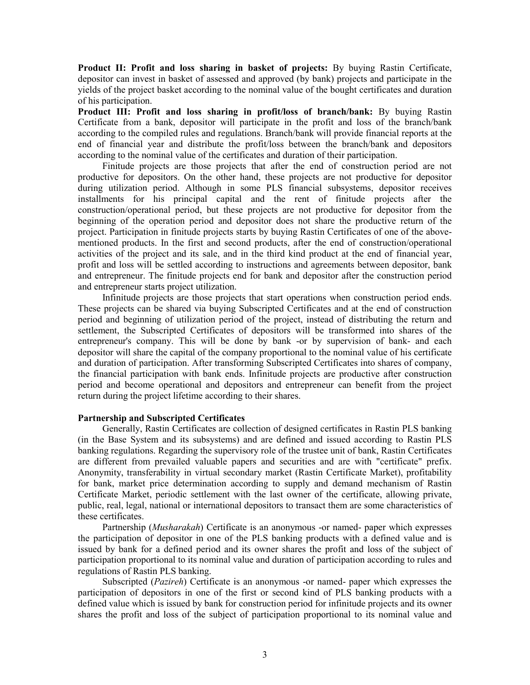**Product II: Profit and loss sharing in basket of projects:** By buying Rastin Certificate, depositor can invest in basket of assessed and approved (by bank) projects and participate in the yields of the project basket according to the nominal value of the bought certificates and duration of his participation.

**Product III: Profit and loss sharing in profit/loss of branch/bank:** By buying Rastin Certificate from a bank, depositor will participate in the profit and loss of the branch/bank according to the compiled rules and regulations. Branch/bank will provide financial reports at the end of financial year and distribute the profit/loss between the branch/bank and depositors according to the nominal value of the certificates and duration of their participation.

Finitude projects are those projects that after the end of construction period are not productive for depositors. On the other hand, these projects are not productive for depositor during utilization period. Although in some PLS financial subsystems, depositor receives installments for his principal capital and the rent of finitude projects after the construction/operational period, but these projects are not productive for depositor from the beginning of the operation period and depositor does not share the productive return of the project. Participation in finitude projects starts by buying Rastin Certificates of one of the abovementioned products. In the first and second products, after the end of construction/operational activities of the project and its sale, and in the third kind product at the end of financial year, profit and loss will be settled according to instructions and agreements between depositor, bank and entrepreneur. The finitude projects end for bank and depositor after the construction period and entrepreneur starts project utilization.

Infinitude projects are those projects that start operations when construction period ends. These projects can be shared via buying Subscripted Certificates and at the end of construction period and beginning of utilization period of the project, instead of distributing the return and settlement, the Subscripted Certificates of depositors will be transformed into shares of the entrepreneur's company. This will be done by bank -or by supervision of bank- and each depositor will share the capital of the company proportional to the nominal value of his certificate and duration of participation. After transforming Subscripted Certificates into shares of company, the financial participation with bank ends. Infinitude projects are productive after construction period and become operational and depositors and entrepreneur can benefit from the project return during the project lifetime according to their shares.

### **Partnership and Subscripted Certificates**

Generally, Rastin Certificates are collection of designed certificates in Rastin PLS banking (in the Base System and its subsystems) and are defined and issued according to Rastin PLS banking regulations. Regarding the supervisory role of the trustee unit of bank, Rastin Certificates are different from prevailed valuable papers and securities and are with "certificate" prefix. Anonymity, transferability in virtual secondary market (Rastin Certificate Market), profitability for bank, market price determination according to supply and demand mechanism of Rastin Certificate Market, periodic settlement with the last owner of the certificate, allowing private, public, real, legal, national or international depositors to transact them are some characteristics of these certificates.

Partnership (*Musharakah*) Certificate is an anonymous -or named- paper which expresses the participation of depositor in one of the PLS banking products with a defined value and is issued by bank for a defined period and its owner shares the profit and loss of the subject of participation proportional to its nominal value and duration of participation according to rules and regulations of Rastin PLS banking.

Subscripted (*Pazireh*) Certificate is an anonymous -or named- paper which expresses the participation of depositors in one of the first or second kind of PLS banking products with a defined value which is issued by bank for construction period for infinitude projects and its owner shares the profit and loss of the subject of participation proportional to its nominal value and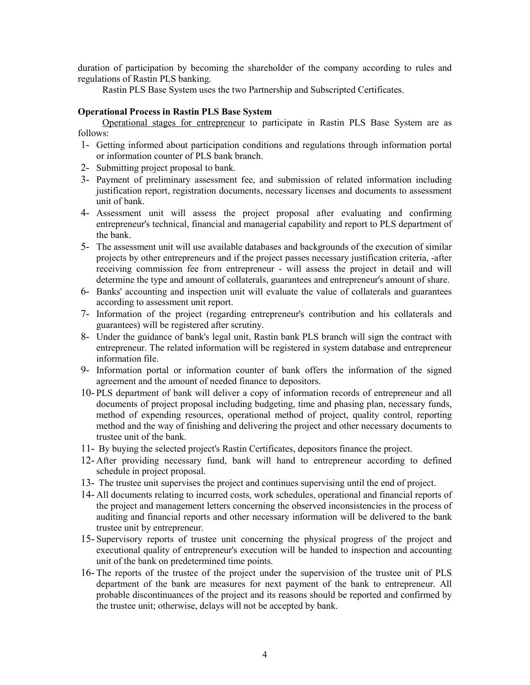duration of participation by becoming the shareholder of the company according to rules and regulations of Rastin PLS banking.

Rastin PLS Base System uses the two Partnership and Subscripted Certificates.

# **Operational Process in Rastin PLS Base System**

Operational stages for entrepreneur to participate in Rastin PLS Base System are as follows:

- 1- Getting informed about participation conditions and regulations through information portal or information counter of PLS bank branch.
- 2- Submitting project proposal to bank.
- 3- Payment of preliminary assessment fee, and submission of related information including justification report, registration documents, necessary licenses and documents to assessment unit of bank.
- 4- Assessment unit will assess the project proposal after evaluating and confirming entrepreneur's technical, financial and managerial capability and report to PLS department of the bank.
- 5- The assessment unit will use available databases and backgrounds of the execution of similar projects by other entrepreneurs and if the project passes necessary justification criteria, -after receiving commission fee from entrepreneur - will assess the project in detail and will determine the type and amount of collaterals, guarantees and entrepreneur's amount of share.
- 6- Banks' accounting and inspection unit will evaluate the value of collaterals and guarantees according to assessment unit report.
- 7- Information of the project (regarding entrepreneur's contribution and his collaterals and guarantees) will be registered after scrutiny.
- 8- Under the guidance of bank's legal unit, Rastin bank PLS branch will sign the contract with entrepreneur. The related information will be registered in system database and entrepreneur information file.
- 9- Information portal or information counter of bank offers the information of the signed agreement and the amount of needed finance to depositors.
- 10- PLS department of bank will deliver a copy of information records of entrepreneur and all documents of project proposal including budgeting, time and phasing plan, necessary funds, method of expending resources, operational method of project, quality control, reporting method and the way of finishing and delivering the project and other necessary documents to trustee unit of the bank.
- 11- By buying the selected project's Rastin Certificates, depositors finance the project.
- 12- After providing necessary fund, bank will hand to entrepreneur according to defined schedule in project proposal.
- 13- The trustee unit supervises the project and continues supervising until the end of project.
- 14- All documents relating to incurred costs, work schedules, operational and financial reports of the project and management letters concerning the observed inconsistencies in the process of auditing and financial reports and other necessary information will be delivered to the bank trustee unit by entrepreneur.
- 15- Supervisory reports of trustee unit concerning the physical progress of the project and executional quality of entrepreneur's execution will be handed to inspection and accounting unit of the bank on predetermined time points.
- 16- The reports of the trustee of the project under the supervision of the trustee unit of PLS department of the bank are measures for next payment of the bank to entrepreneur. All probable discontinuances of the project and its reasons should be reported and confirmed by the trustee unit; otherwise, delays will not be accepted by bank.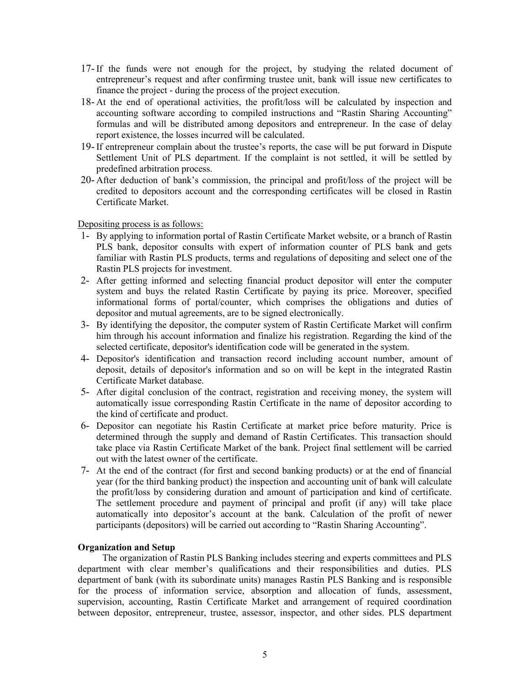- 17- If the funds were not enough for the project, by studying the related document of entrepreneur's request and after confirming trustee unit, bank will issue new certificates to finance the project - during the process of the project execution.
- 18- At the end of operational activities, the profit/loss will be calculated by inspection and accounting software according to compiled instructions and "Rastin Sharing Accounting" formulas and will be distributed among depositors and entrepreneur. In the case of delay report existence, the losses incurred will be calculated.
- 19- If entrepreneur complain about the trustee's reports, the case will be put forward in Dispute Settlement Unit of PLS department. If the complaint is not settled, it will be settled by predefined arbitration process.
- 20- After deduction of bank's commission, the principal and profit/loss of the project will be credited to depositors account and the corresponding certificates will be closed in Rastin Certificate Market.

# Depositing process is as follows:

- 1- By applying to information portal of Rastin Certificate Market website, or a branch of Rastin PLS bank, depositor consults with expert of information counter of PLS bank and gets familiar with Rastin PLS products, terms and regulations of depositing and select one of the Rastin PLS projects for investment.
- 2- After getting informed and selecting financial product depositor will enter the computer system and buys the related Rastin Certificate by paying its price. Moreover, specified informational forms of portal/counter, which comprises the obligations and duties of depositor and mutual agreements, are to be signed electronically.
- 3- By identifying the depositor, the computer system of Rastin Certificate Market will confirm him through his account information and finalize his registration. Regarding the kind of the selected certificate, depositor's identification code will be generated in the system.
- 4- Depositor's identification and transaction record including account number, amount of deposit, details of depositor's information and so on will be kept in the integrated Rastin Certificate Market database.
- 5- After digital conclusion of the contract, registration and receiving money, the system will automatically issue corresponding Rastin Certificate in the name of depositor according to the kind of certificate and product.
- 6- Depositor can negotiate his Rastin Certificate at market price before maturity. Price is determined through the supply and demand of Rastin Certificates. This transaction should take place via Rastin Certificate Market of the bank. Project final settlement will be carried out with the latest owner of the certificate.
- 7- At the end of the contract (for first and second banking products) or at the end of financial year (for the third banking product) the inspection and accounting unit of bank will calculate the profit/loss by considering duration and amount of participation and kind of certificate. The settlement procedure and payment of principal and profit (if any) will take place automatically into depositor's account at the bank. Calculation of the profit of newer participants (depositors) will be carried out according to "Rastin Sharing Accounting".

# **Organization and Setup**

The organization of Rastin PLS Banking includes steering and experts committees and PLS department with clear member's qualifications and their responsibilities and duties. PLS department of bank (with its subordinate units) manages Rastin PLS Banking and is responsible for the process of information service, absorption and allocation of funds, assessment, supervision, accounting, Rastin Certificate Market and arrangement of required coordination between depositor, entrepreneur, trustee, assessor, inspector, and other sides. PLS department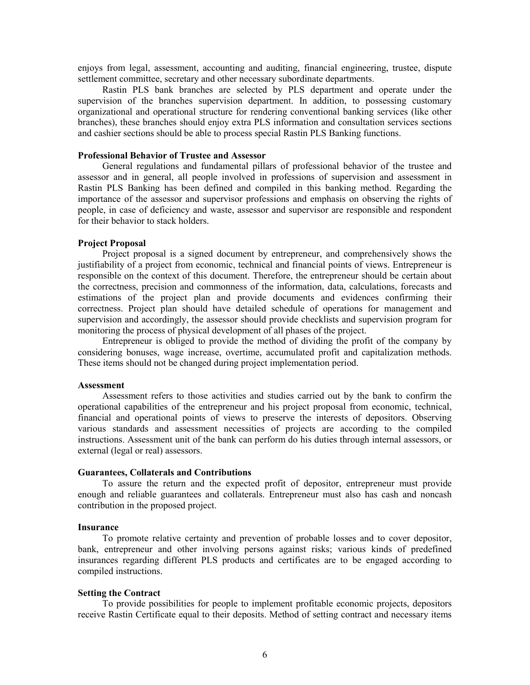enjoys from legal, assessment, accounting and auditing, financial engineering, trustee, dispute settlement committee, secretary and other necessary subordinate departments.

Rastin PLS bank branches are selected by PLS department and operate under the supervision of the branches supervision department. In addition, to possessing customary organizational and operational structure for rendering conventional banking services (like other branches), these branches should enjoy extra PLS information and consultation services sections and cashier sections should be able to process special Rastin PLS Banking functions.

#### **Professional Behavior of Trustee and Assessor**

General regulations and fundamental pillars of professional behavior of the trustee and assessor and in general, all people involved in professions of supervision and assessment in Rastin PLS Banking has been defined and compiled in this banking method. Regarding the importance of the assessor and supervisor professions and emphasis on observing the rights of people, in case of deficiency and waste, assessor and supervisor are responsible and respondent for their behavior to stack holders.

#### **Project Proposal**

Project proposal is a signed document by entrepreneur, and comprehensively shows the justifiability of a project from economic, technical and financial points of views. Entrepreneur is responsible on the context of this document. Therefore, the entrepreneur should be certain about the correctness, precision and commonness of the information, data, calculations, forecasts and estimations of the project plan and provide documents and evidences confirming their correctness. Project plan should have detailed schedule of operations for management and supervision and accordingly, the assessor should provide checklists and supervision program for monitoring the process of physical development of all phases of the project.

Entrepreneur is obliged to provide the method of dividing the profit of the company by considering bonuses, wage increase, overtime, accumulated profit and capitalization methods. These items should not be changed during project implementation period.

#### **Assessment**

Assessment refers to those activities and studies carried out by the bank to confirm the operational capabilities of the entrepreneur and his project proposal from economic, technical, financial and operational points of views to preserve the interests of depositors. Observing various standards and assessment necessities of projects are according to the compiled instructions. Assessment unit of the bank can perform do his duties through internal assessors, or external (legal or real) assessors.

#### **Guarantees, Collaterals and Contributions**

To assure the return and the expected profit of depositor, entrepreneur must provide enough and reliable guarantees and collaterals. Entrepreneur must also has cash and noncash contribution in the proposed project.

### **Insurance**

To promote relative certainty and prevention of probable losses and to cover depositor, bank, entrepreneur and other involving persons against risks; various kinds of predefined insurances regarding different PLS products and certificates are to be engaged according to compiled instructions.

#### **Setting the Contract**

To provide possibilities for people to implement profitable economic projects, depositors receive Rastin Certificate equal to their deposits. Method of setting contract and necessary items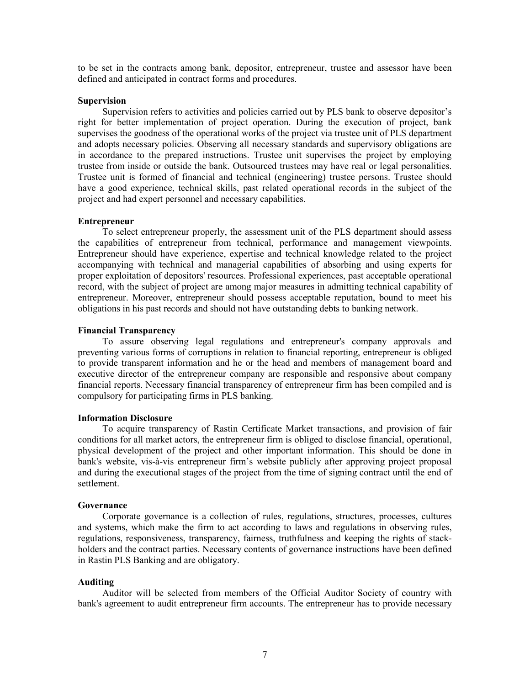to be set in the contracts among bank, depositor, entrepreneur, trustee and assessor have been defined and anticipated in contract forms and procedures.

### **Supervision**

Supervision refers to activities and policies carried out by PLS bank to observe depositor's right for better implementation of project operation. During the execution of project, bank supervises the goodness of the operational works of the project via trustee unit of PLS department and adopts necessary policies. Observing all necessary standards and supervisory obligations are in accordance to the prepared instructions. Trustee unit supervises the project by employing trustee from inside or outside the bank. Outsourced trustees may have real or legal personalities. Trustee unit is formed of financial and technical (engineering) trustee persons. Trustee should have a good experience, technical skills, past related operational records in the subject of the project and had expert personnel and necessary capabilities.

# **Entrepreneur**

To select entrepreneur properly, the assessment unit of the PLS department should assess the capabilities of entrepreneur from technical, performance and management viewpoints. Entrepreneur should have experience, expertise and technical knowledge related to the project accompanying with technical and managerial capabilities of absorbing and using experts for proper exploitation of depositors' resources. Professional experiences, past acceptable operational record, with the subject of project are among major measures in admitting technical capability of entrepreneur. Moreover, entrepreneur should possess acceptable reputation, bound to meet his obligations in his past records and should not have outstanding debts to banking network.

### **Financial Transparency**

To assure observing legal regulations and entrepreneur's company approvals and preventing various forms of corruptions in relation to financial reporting, entrepreneur is obliged to provide transparent information and he or the head and members of management board and executive director of the entrepreneur company are responsible and responsive about company financial reports. Necessary financial transparency of entrepreneur firm has been compiled and is compulsory for participating firms in PLS banking.

### **Information Disclosure**

To acquire transparency of Rastin Certificate Market transactions, and provision of fair conditions for all market actors, the entrepreneur firm is obliged to disclose financial, operational, physical development of the project and other important information. This should be done in bank's website, vis-à-vis entrepreneur firm's website publicly after approving project proposal and during the executional stages of the project from the time of signing contract until the end of settlement.

# **Governance**

Corporate governance is a collection of rules, regulations, structures, processes, cultures and systems, which make the firm to act according to laws and regulations in observing rules, regulations, responsiveness, transparency, fairness, truthfulness and keeping the rights of stackholders and the contract parties. Necessary contents of governance instructions have been defined in Rastin PLS Banking and are obligatory.

### **Auditing**

Auditor will be selected from members of the Official Auditor Society of country with bank's agreement to audit entrepreneur firm accounts. The entrepreneur has to provide necessary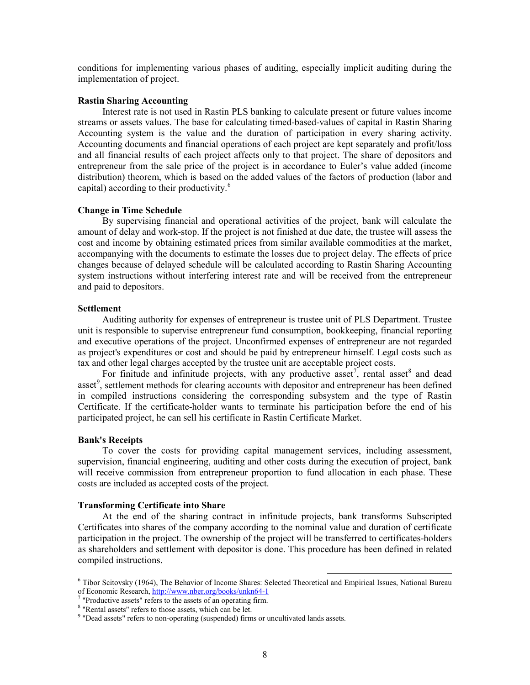conditions for implementing various phases of auditing, especially implicit auditing during the implementation of project.

#### **Rastin Sharing Accounting**

Interest rate is not used in Rastin PLS banking to calculate present or future values income streams or assets values. The base for calculating timed-based-values of capital in Rastin Sharing Accounting system is the value and the duration of participation in every sharing activity. Accounting documents and financial operations of each project are kept separately and profit/loss and all financial results of each project affects only to that project. The share of depositors and entrepreneur from the sale price of the project is in accordance to Euler's value added (income distribution) theorem, which is based on the added values of the factors of production (labor and capital) according to their productivity. [6](#page-7-0)

#### **Change in Time Schedule**

By supervising financial and operational activities of the project, bank will calculate the amount of delay and work-stop. If the project is not finished at due date, the trustee will assess the cost and income by obtaining estimated prices from similar available commodities at the market, accompanying with the documents to estimate the losses due to project delay. The effects of price changes because of delayed schedule will be calculated according to Rastin Sharing Accounting system instructions without interfering interest rate and will be received from the entrepreneur and paid to depositors.

# **Settlement**

Auditing authority for expenses of entrepreneur is trustee unit of PLS Department. Trustee unit is responsible to supervise entrepreneur fund consumption, bookkeeping, financial reporting and executive operations of the project. Unconfirmed expenses of entrepreneur are not regarded as project's expenditures or cost and should be paid by entrepreneur himself. Legal costs such as tax and other legal charges accepted by the trustee unit are acceptable project costs.

For finitude and infinitude projects, with any productive asset<sup>[7](#page-7-1)</sup>, rental asset<sup>[8](#page-7-2)</sup> and dead asset<sup>[9](#page-7-3)</sup>, settlement methods for clearing accounts with depositor and entrepreneur has been defined in compiled instructions considering the corresponding subsystem and the type of Rastin Certificate. If the certificate-holder wants to terminate his participation before the end of his participated project, he can sell his certificate in Rastin Certificate Market.

### **Bank's Receipts**

To cover the costs for providing capital management services, including assessment, supervision, financial engineering, auditing and other costs during the execution of project, bank will receive commission from entrepreneur proportion to fund allocation in each phase. These costs are included as accepted costs of the project.

### **Transforming Certificate into Share**

At the end of the sharing contract in infinitude projects, bank transforms Subscripted Certificates into shares of the company according to the nominal value and duration of certificate participation in the project. The ownership of the project will be transferred to certificates-holders as shareholders and settlement with depositor is done. This procedure has been defined in related compiled instructions.

 $\overline{\phantom{a}}$ 

<span id="page-7-0"></span><sup>6</sup> Tibor Scitovsky (1964), The Behavior of Income Shares: Selected Theoretical and Empirical Issues, National Bureau of Economic Research,<http://www.nber.org/books/unkn64-1><br><sup>7</sup> "Productive assets" refers to the assets of an operating firm.

<span id="page-7-1"></span>

<span id="page-7-2"></span><sup>8</sup> "Rental assets" refers to those assets, which can be let.

<span id="page-7-3"></span><sup>9</sup> "Dead assets" refers to non-operating (suspended) firms or uncultivated lands assets.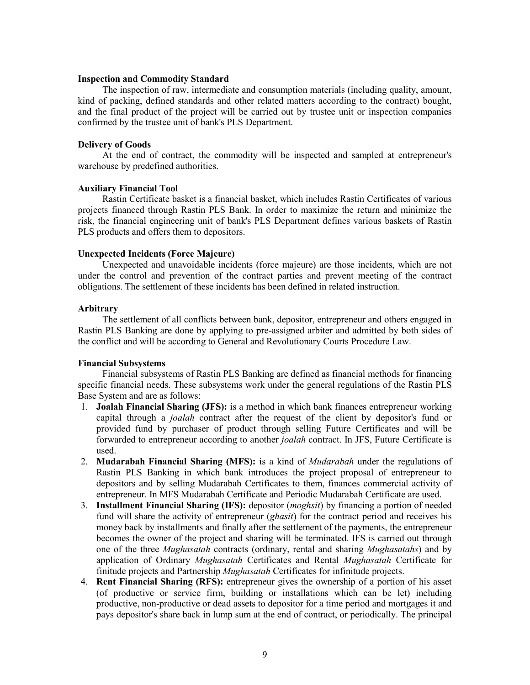### **Inspection and Commodity Standard**

The inspection of raw, intermediate and consumption materials (including quality, amount, kind of packing, defined standards and other related matters according to the contract) bought, and the final product of the project will be carried out by trustee unit or inspection companies confirmed by the trustee unit of bank's PLS Department.

### **Delivery of Goods**

At the end of contract, the commodity will be inspected and sampled at entrepreneur's warehouse by predefined authorities.

### **Auxiliary Financial Tool**

Rastin Certificate basket is a financial basket, which includes Rastin Certificates of various projects financed through Rastin PLS Bank. In order to maximize the return and minimize the risk, the financial engineering unit of bank's PLS Department defines various baskets of Rastin PLS products and offers them to depositors.

### **Unexpected Incidents (Force Majeure)**

Unexpected and unavoidable incidents (force majeure) are those incidents, which are not under the control and prevention of the contract parties and prevent meeting of the contract obligations. The settlement of these incidents has been defined in related instruction.

### **Arbitrary**

The settlement of all conflicts between bank, depositor, entrepreneur and others engaged in Rastin PLS Banking are done by applying to pre-assigned arbiter and admitted by both sides of the conflict and will be according to General and Revolutionary Courts Procedure Law.

# **Financial Subsystems**

Financial subsystems of Rastin PLS Banking are defined as financial methods for financing specific financial needs. These subsystems work under the general regulations of the Rastin PLS Base System and are as follows:

- 1. **Joalah Financial Sharing (JFS):** is a method in which bank finances entrepreneur working capital through a *joalah* contract after the request of the client by depositor's fund or provided fund by purchaser of product through selling Future Certificates and will be forwarded to entrepreneur according to another *joalah* contract. In JFS, Future Certificate is used.
- 2. **Mudarabah Financial Sharing (MFS):** is a kind of *Mudarabah* under the regulations of Rastin PLS Banking in which bank introduces the project proposal of entrepreneur to depositors and by selling Mudarabah Certificates to them, finances commercial activity of entrepreneur. In MFS Mudarabah Certificate and Periodic Mudarabah Certificate are used.
- 3. **Installment Financial Sharing (IFS):** depositor (*moghsit*) by financing a portion of needed fund will share the activity of entrepreneur (*ghasit*) for the contract period and receives his money back by installments and finally after the settlement of the payments, the entrepreneur becomes the owner of the project and sharing will be terminated. IFS is carried out through one of the three *Mughasatah* contracts (ordinary, rental and sharing *Mughasatahs*) and by application of Ordinary *Mughasatah* Certificates and Rental *Mughasatah* Certificate for finitude projects and Partnership *Mughasatah* Certificates for infinitude projects.
- 4. **Rent Financial Sharing (RFS):** entrepreneur gives the ownership of a portion of his asset (of productive or service firm, building or installations which can be let) including productive, non-productive or dead assets to depositor for a time period and mortgages it and pays depositor's share back in lump sum at the end of contract, or periodically. The principal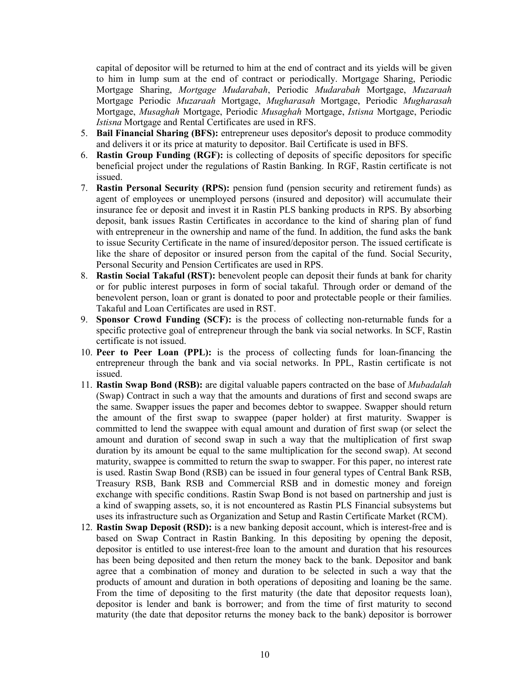capital of depositor will be returned to him at the end of contract and its yields will be given to him in lump sum at the end of contract or periodically. Mortgage Sharing, Periodic Mortgage Sharing, *Mortgage Mudarabah*, Periodic *Mudarabah* Mortgage, *Muzaraah* Mortgage Periodic *Muzaraah* Mortgage, *Mugharasah* Mortgage, Periodic *Mugharasah* Mortgage, *Musaghah* Mortgage, Periodic *Musaghah* Mortgage, *Istisna* Mortgage, Periodic *Istisna* Mortgage and Rental Certificates are used in RFS.

- 5. **Bail Financial Sharing (BFS):** entrepreneur uses depositor's deposit to produce commodity and delivers it or its price at maturity to depositor. Bail Certificate is used in BFS.
- 6. **Rastin Group Funding (RGF):** is collecting of deposits of specific depositors for specific beneficial project under the regulations of Rastin Banking. In RGF, Rastin certificate is not issued.
- 7. **Rastin Personal Security (RPS):** pension fund (pension security and retirement funds) as agent of employees or unemployed persons (insured and depositor) will accumulate their insurance fee or deposit and invest it in Rastin PLS banking products in RPS. By absorbing deposit, bank issues Rastin Certificates in accordance to the kind of sharing plan of fund with entrepreneur in the ownership and name of the fund. In addition, the fund asks the bank to issue Security Certificate in the name of insured/depositor person. The issued certificate is like the share of depositor or insured person from the capital of the fund. Social Security, Personal Security and Pension Certificates are used in RPS.
- 8. **Rastin Social Takaful (RST):** benevolent people can deposit their funds at bank for charity or for public interest purposes in form of social takaful. Through order or demand of the benevolent person, loan or grant is donated to poor and protectable people or their families. Takaful and Loan Certificates are used in RST.
- 9. **Sponsor Crowd Funding (SCF):** is the process of collecting non-returnable funds for a specific protective goal of entrepreneur through the bank via social networks. In SCF, Rastin certificate is not issued.
- 10. **Peer to Peer Loan (PPL):** is the process of collecting funds for loan-financing the entrepreneur through the bank and via social networks. In PPL, Rastin certificate is not issued.
- 11. **Rastin Swap Bond (RSB):** are digital valuable papers contracted on the base of *Mubadalah* (Swap) Contract in such a way that the amounts and durations of first and second swaps are the same. Swapper issues the paper and becomes debtor to swappee. Swapper should return the amount of the first swap to swappee (paper holder) at first maturity. Swapper is committed to lend the swappee with equal amount and duration of first swap (or select the amount and duration of second swap in such a way that the multiplication of first swap duration by its amount be equal to the same multiplication for the second swap). At second maturity, swappee is committed to return the swap to swapper. For this paper, no interest rate is used. Rastin Swap Bond (RSB) can be issued in four general types of Central Bank RSB, Treasury RSB, Bank RSB and Commercial RSB and in domestic money and foreign exchange with specific conditions. Rastin Swap Bond is not based on partnership and just is a kind of swapping assets, so, it is not encountered as Rastin PLS Financial subsystems but uses its infrastructure such as Organization and Setup and Rastin Certificate Market (RCM).
- 12. **Rastin Swap Deposit (RSD):** is a new banking deposit account, which is interest-free and is based on Swap Contract in Rastin Banking. In this depositing by opening the deposit, depositor is entitled to use interest-free loan to the amount and duration that his resources has been being deposited and then return the money back to the bank. Depositor and bank agree that a combination of money and duration to be selected in such a way that the products of amount and duration in both operations of depositing and loaning be the same. From the time of depositing to the first maturity (the date that depositor requests loan), depositor is lender and bank is borrower; and from the time of first maturity to second maturity (the date that depositor returns the money back to the bank) depositor is borrower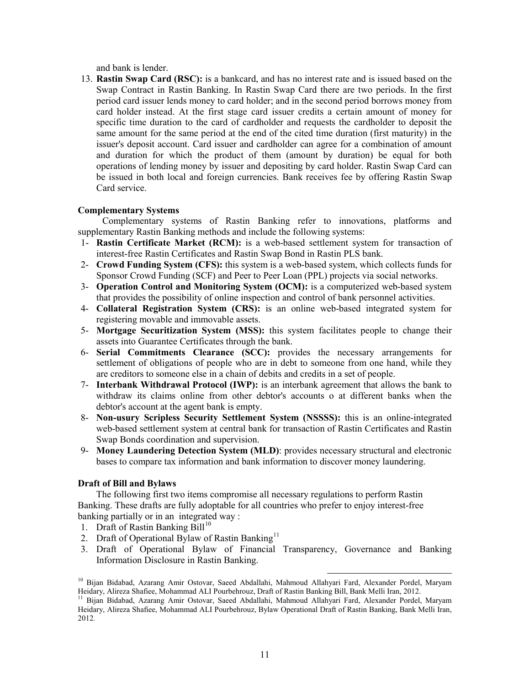and bank is lender.

13. **Rastin Swap Card (RSC):** is a bankcard, and has no interest rate and is issued based on the Swap Contract in Rastin Banking. In Rastin Swap Card there are two periods. In the first period card issuer lends money to card holder; and in the second period borrows money from card holder instead. At the first stage card issuer credits a certain amount of money for specific time duration to the card of cardholder and requests the cardholder to deposit the same amount for the same period at the end of the cited time duration (first maturity) in the issuer's deposit account. Card issuer and cardholder can agree for a combination of amount and duration for which the product of them (amount by duration) be equal for both operations of lending money by issuer and depositing by card holder. Rastin Swap Card can be issued in both local and foreign currencies. Bank receives fee by offering Rastin Swap Card service.

# **Complementary Systems**

Complementary systems of Rastin Banking refer to innovations, platforms and supplementary Rastin Banking methods and include the following systems:

- 1- **Rastin Certificate Market (RCM):** is a web-based settlement system for transaction of interest-free Rastin Certificates and Rastin Swap Bond in Rastin PLS bank.
- 2- **Crowd Funding System (CFS):** this system is a web-based system, which collects funds for Sponsor Crowd Funding (SCF) and Peer to Peer Loan (PPL) projects via social networks.
- 3- **Operation Control and Monitoring System (OCM):** is a computerized web-based system that provides the possibility of online inspection and control of bank personnel activities.
- 4- **Collateral Registration System (CRS):** is an online web-based integrated system for registering movable and immovable assets.
- 5- **Mortgage Securitization System (MSS):** this system facilitates people to change their assets into Guarantee Certificates through the bank.
- 6- **Serial Commitments Clearance (SCC):** provides the necessary arrangements for settlement of obligations of people who are in debt to someone from one hand, while they are creditors to someone else in a chain of debits and credits in a set of people.
- 7- **Interbank Withdrawal Protocol (IWP):** is an interbank agreement that allows the bank to withdraw its claims online from other debtor's accounts o at different banks when the debtor's account at the agent bank is empty.
- 8- **Non-usury Scripless Security Settlement System (NSSSS):** this is an online-integrated web-based settlement system at central bank for transaction of Rastin Certificates and Rastin Swap Bonds coordination and supervision.
- 9- **Money Laundering Detection System (MLD)**: provides necessary structural and electronic bases to compare tax information and bank information to discover money laundering.

# **Draft of Bill and Bylaws**

The following first two items compromise all necessary regulations to perform Rastin Banking. These drafts are fully adoptable for all countries who prefer to enjoy interest-free banking partially or in an integrated way :

- 1. Draft of Rastin Banking Bill $10$
- 2. Draft of Operational Bylaw of Rastin Banking<sup>[11](#page-10-1)</sup>
- 3. Draft of Operational Bylaw of Financial Transparency, Governance and Banking Information Disclosure in Rastin Banking.

 $\overline{\phantom{a}}$ 

<span id="page-10-0"></span><sup>10</sup> Bijan Bidabad, Azarang Amir Ostovar, Saeed Abdallahi, Mahmoud Allahyari Fard, Alexander Pordel, Maryam Heidary, Alireza Shafiee, Mohammad ALI Pourbehrouz, Draft of Rastin Banking Bill, Bank Melli Iran, 2012.

<span id="page-10-1"></span><sup>11</sup> Bijan Bidabad, Azarang Amir Ostovar, Saeed Abdallahi, Mahmoud Allahyari Fard, Alexander Pordel, Maryam Heidary, Alireza Shafiee, Mohammad ALI Pourbehrouz, Bylaw Operational Draft of Rastin Banking, Bank Melli Iran, 2012*.*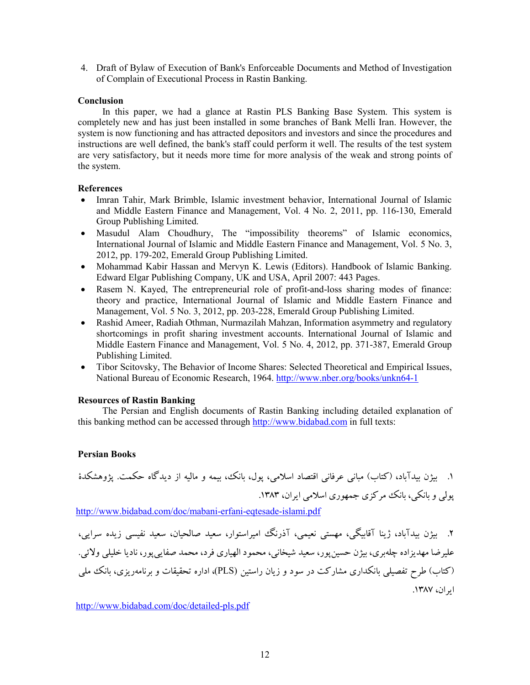4. Draft of Bylaw of Execution of Bank's Enforceable Documents and Method of Investigation of Complain of Executional Process in Rastin Banking.

# **Conclusion**

In this paper, we had a glance at Rastin PLS Banking Base System. This system is completely new and has just been installed in some branches of Bank Melli Iran. However, the system is now functioning and has attracted depositors and investors and since the procedures and instructions are well defined, the bank's staff could perform it well. The results of the test system are very satisfactory, but it needs more time for more analysis of the weak and strong points of the system.

# **References**

- Imran Tahir, Mark Brimble, Islamic investment behavior, International Journal of Islamic and Middle Eastern Finance and Management, Vol. 4 No. 2, 2011, pp. 116-130, Emerald Group Publishing Limited.
- Masudul Alam Choudhury, The "impossibility theorems" of Islamic economics, International Journal of Islamic and Middle Eastern Finance and Management, Vol. 5 No. 3, 2012, pp. 179-202, Emerald Group Publishing Limited.
- Mohammad Kabir Hassan and Mervyn K. Lewis (Editors). Handbook of Islamic Banking. Edward Elgar Publishing Company, UK and USA, April 2007: 443 Pages.
- Rasem N. Kayed, The entrepreneurial role of profit-and-loss sharing modes of finance: theory and practice, International Journal of Islamic and Middle Eastern Finance and Management, Vol. 5 No. 3, 2012, pp. 203-228, Emerald Group Publishing Limited.
- Rashid Ameer, Radiah Othman, Nurmazilah Mahzan, Information asymmetry and regulatory shortcomings in profit sharing investment accounts. International Journal of Islamic and Middle Eastern Finance and Management, Vol. 5 No. 4, 2012, pp. 371-387, Emerald Group Publishing Limited.
- Tibor Scitovsky, The Behavior of Income Shares: Selected Theoretical and Empirical Issues, National Bureau of Economic Research, 1964.<http://www.nber.org/books/unkn64-1>

# **Resources of Rastin Banking**

The Persian and English documents of Rastin Banking including detailed explanation of this banking method can be accessed through [http://www.bidabad.com](http://www.bidabad.com/) in full texts:

# **Persian Books**

.1 بیژن بیدآباد، (کتاب) مبانی عرفانی اقتصاد اسلامی، پول، بانک، بیمه و مالیه از دیدگاه حکمت. پژوهشکدة پولی و بانکی، بانک مرکزي جمهوري اسلامی ایران، .1383

<http://www.bidabad.com/doc/mabani-erfani-eqtesade-islami.pdf>

.2 بیژن بیدآباد، ژینا آقابیگی، مهستی نعیمی، آذرنگ امیراستوار، سعید صالحیان، سعید نفیسی زیده سرایی، علیرضا مهدیزاده چلهبري، بیژن حسینپور، سعید شیخانی، محمود الهیاري فرد، محمد صفاییپور، نادیا خلیلی ولائی. (کتاب) طرح تفصیلی بانکداري مشارکت در سود و زیان راستین (PLS(، اداره تحقیقات و برنامهریزي، بانک ملی ایران، .1387

<http://www.bidabad.com/doc/detailed-pls.pdf>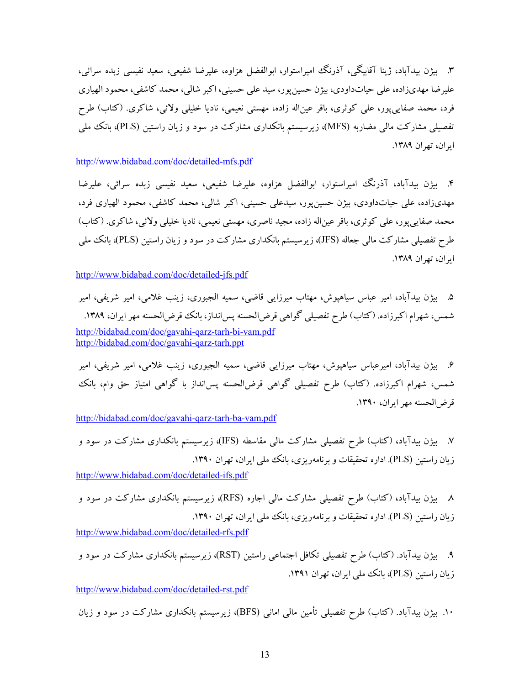.3 بیژن بیدآباد، ژینا آقابیگی، آذرنگ امیراستوار، ابوالفضل هزاوه، علیرضا شفیعی، سعید نفیسی زبده سرائی، علیرضا مهديزاده، علی حیاتداودي، بیژن حسینپور، سید علی حسینی، اکبر شالی، محمد کاشفی، محمود الهیاري فرد، محمد صفاییپور، علی کوثري، باقر عیناله زاده، مهستی نعیمی، نادیا خلیلی ولائی، شاکري. (کتاب) طرح تفصیلی مشارکت مالی مضاربه (MFS)، زیرسیستم بانکداری مشارکت در سود و زیان راستین (PLS)، بانک ملی ایران، تهران .1389

<http://www.bidabad.com/doc/detailed-mfs.pdf>

.4 بیژن بیدآباد، آذرنگ امیراستوار، ابوالفضل هزاوه، علیرضا شفیعی، سعید نفیسی زبده سرائی، علیرضا مهديزاده، علی حیاتداودي، بیژن حسینپور، سیدعلی حسینی، اکبر شالی، محمد کاشفی، محمود الهیاري فرد، محمد صفاییپور، علی کوثري، باقر عیناله زاده، مجید ناصري، مهستی نعیمی، نادیا خلیلی ولائی، شاکري. (کتاب) طرح تفصیلی مشارکت مالی جعاله (JFS)، زیرسیستم بانکداری مشارکت در سود و زیان راستین (PLS)، بانک ملی ایران، تهران .1389

<http://www.bidabad.com/doc/detailed-jfs.pdf>

.5 بیژن بیدآباد، امیر عباس سیاهپوش، مهتاب میرزایی قاضی، سمیه الجبوري، زینب غلامی، امیر شریفی، امیر شمس، شهرام اکبرزاده. (کتاب) طرح تفصیلی گواهی قرضالحسنه پس انداز، بانک قرض الحسنه مهر ایران، ۱۳۸۹. <http://bidabad.com/doc/gavahi-qarz-tarh-bi-vam.pdf> <http://bidabad.com/doc/gavahi-qarz-tarh.ppt>

.6 بیژن بیدآباد، امیرعباس سیاهپوش، مهتاب میرزایی قاضی، سمیه الجبوري، زینب غلامی، امیر شریفی، امیر شمس، شهرام اکبرزاده. (کتاب) طرح تفصیلی گواهی قرضالحسنه پسانداز با گواهی امتیاز حق وام، بانک قرضالحسنه مهر ایران، .1390

<http://bidabad.com/doc/gavahi-qarz-tarh-ba-vam.pdf>

.7 بیژن بیدآباد، (کتاب) طرح تفصیلی مشارکت مالی مقاسطه (IFS(، زیرسیستم بانکداري مشارکت در سود و زیان راستین (PLS). اداره تحقیقات و برنامهریزی، بانک ملی ایران، تهران ١٣٩٠.

<http://www.bidabad.com/doc/detailed-ifs.pdf>

.8 بیژن بیدآباد، (کتاب) طرح تفصیلی مشارکت مالی اجاره (RFS(، زیرسیستم بانکداري مشارکت در سود و زیان راستین (PLS(. اداره تحقیقات و برنامهریزي، بانک ملی ایران، تهران .1390

<http://www.bidabad.com/doc/detailed-rfs.pdf>

.9 بیژن بیدآباد. (کتاب) طرح تفصیلی تکافل اجتماعی راستین (RST(، زیرسیستم بانکداري مشارکت در سود و زیان راستین (PLS(، بانک ملی ایران، تهران .1391

<http://www.bidabad.com/doc/detailed-rst.pdf>

.10 بیژن بیدآباد. (کتاب) طرح تفصیلی تأمین مالی امانی (BFS(، زیرسیستم بانکداري مشارکت در سود و زیان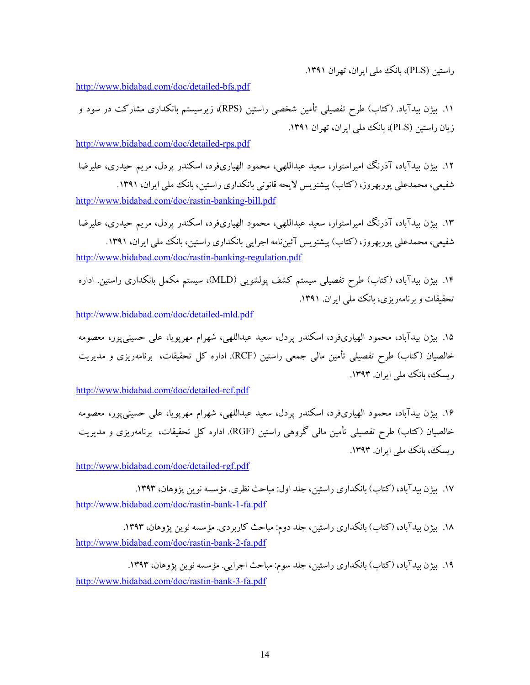راستین (PLS(، بانک ملی ایران، تهران .1391

<http://www.bidabad.com/doc/detailed-bfs.pdf>

.11 بیژن بیدآباد. (کتاب) طرح تفصیلی تأمین شخصی راستین (RPS(، زیرسیستم بانکداري مشارکت در سود و زیان راستین (PLS)، بانک ملی ایران، تهران ۱۳۹۱.

<http://www.bidabad.com/doc/detailed-rps.pdf>

.12 بیژن بیدآباد، آذرنگ امیراستوار، سعید عبداللهی، محمود الهیاريفرد، اسکندر پردل، مریم حیدري، علیرضا شفیعی، محمدعلی پوربهروز، (کتاب) پیشنویس لایحه قانونی بانکداري راستین، بانک ملی ایران، .1391 <http://www.bidabad.com/doc/rastin-banking-bill.pdf>

.13 بیژن بیدآباد، آذرنگ امیراستوار، سعید عبداللهی، محمود الهیاريفرد، اسکندر پردل، مریم حیدري، علیرضا شفیعی، محمدعلی پوربهروز، (کتاب) پیشنویس آئینiامه اجرایی بانکداری راستین، بانک ملی ایران، ۱۳۹۱. <http://www.bidabad.com/doc/rastin-banking-regulation.pdf>

.14 بیژن بیدآباد، (کتاب) طرح تفصیلی سیستم کشف پولشویی (MLD(، سیستم مکمل بانکداري راستین. اداره تحقیقات و برنامهریزي، بانک ملی ایران. .1391

<http://www.bidabad.com/doc/detailed-mld.pdf>

.15 بیژن بیدآباد، محمود الهیاريفرد، اسکندر پردل، سعید عبداللهی، شهرام مهرپویا، علی حسینیپور، معصومه خالصیان (کتاب) طرح تفصیلی تأمین مالی جمعی راستین (RCF(. اداره کل تحقیقات، برنامهریزي و مدیریت ریسک، بانک ملی ایران. ۱۳۹۳.

<http://www.bidabad.com/doc/detailed-rcf.pdf>

.16 بیژن بیدآباد، محمود الهیاريفرد، اسکندر پردل، سعید عبداللهی، شهرام مهرپویا، علی حسینیپور، معصومه خالصیان (کتاب) طرح تفصیلی تأمین مالی گروهی راستین (RGF(. اداره کل تحقیقات، برنامهریزي و مدیریت ریسک، بانک ملی ایران. .1393

<http://www.bidabad.com/doc/detailed-rgf.pdf>

۱۷. بیژن بیدآباد، (کتاب) بانکداری راستین، جلد اول: مباحث نظری. مؤسسه نوین پژوهان، ۱۳۹۳. <http://www.bidabad.com/doc/rastin-bank-1-fa.pdf>

۱۸. بیژن بیدآباد، (کتاب) بانکداري راستین، جلد دوم: مباحث کاربردي. مؤسسه نوین پژوهان، ۱۳۹۳. <http://www.bidabad.com/doc/rastin-bank-2-fa.pdf>

۱۹. بیژن بیدآباد، (کتاب) بانکداری راستین، جلد سوم: مباحث اجرایی. مؤسسه نوین پژوهان، ۱۳۹۳. <http://www.bidabad.com/doc/rastin-bank-3-fa.pdf>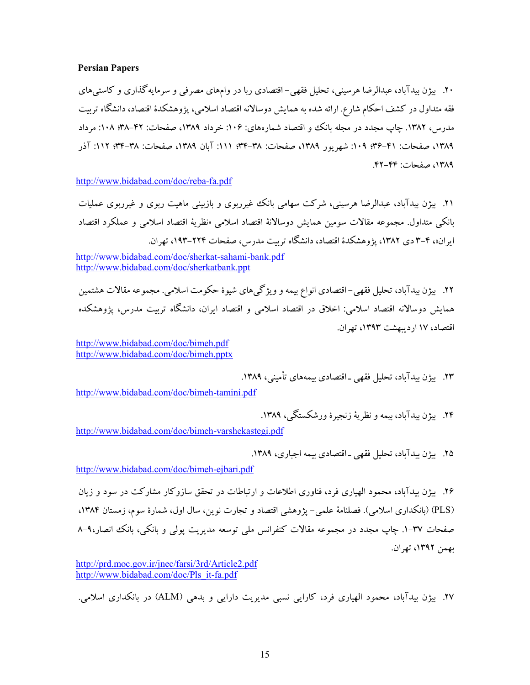# **Persian Papers**

.20 بیژن بیدآباد، عبدالرضا هرسینی، تحلیل فقهی- اقتصادي ربا در وامهاي مصرفی و سرمایهگذاري و کاستیهاي فقه متداول در کشف احکام شارع. ارائه شده به همایش دوسالانه اقتصاد اسلامی، پژوهشکدة اقتصاد، دانشگاه تربیت مدرس، ۱۳۸۲. چاپ مجدد در مجله بانک و اقتصاد شمارههاي: ۱۰۶: خرداد ۱۳۸۹، صفحات: ۴۲–۳۸؛ ۱۰۸: مرداد ١٣٨٩، صفحات: ٣١-٣٤؛ ١٠٩: شهریور ١٣٨٩، صفحات: ٣٨-٣٣؛ ١٦٧، صفحات: ٣٨-٣٣؛ ١١٢: آذر ،1389 صفحات: .42-44

<http://www.bidabad.com/doc/reba-fa.pdf>

.21 بیژن بیدآباد، عبدالرضا هرسینی، شرکت سهامی بانک غیرربوي و بازبینی ماهیت ربوي و غیرربوي عملیات بانکی متداول. مجموعه مقالات سومین همایش دوسالانۀ اقتصاد اسلامی «نظریۀ اقتصاد اسلامی و عملکرد اقتصاد ایران»، ۴-۳ دی ۱۳۸۲، پژوهشکدهٔ اقتصاد، دانشگاه تربیت مدرس، صفحات ۲۲۴-۱۹۳، تهران.

<http://www.bidabad.com/doc/sherkat-sahami-bank.pdf> <http://www.bidabad.com/doc/sherkatbank.ppt>

.22 بیژن بیدآباد، تحلیل فقهی- اقتصادي انواع بیمه و ویژگیهاي شیوة حکومت اسلامی. مجموعه مقالات هشتمین همایش دوسالانه اقتصاد اسلامی: اخلاق در اقتصاد اسلامی و اقتصاد ایران، دانشگاه تربیت مدرس، پژوهشکده اقتصاد، 17 اردیبهشت ،1393 تهران.

<http://www.bidabad.com/doc/bimeh.pdf> <http://www.bidabad.com/doc/bimeh.pptx>

.23 بیژن بیدآباد، تحلیل فقهی ـ اقتصادي بیمههاي تأمینی، .1389

<http://www.bidabad.com/doc/bimeh-tamini.pdf>

.24 بیژن بیدآباد، بیمه و نظریۀ زنجیرة ورشکستگی، .1389

<http://www.bidabad.com/doc/bimeh-varshekastegi.pdf>

۲۵. بیژن بیدآباد، تحلیل فقهی ـ اقتصادی بیمه اجباری، ۱۳۸۹.

<http://www.bidabad.com/doc/bimeh-ejbari.pdf>

.26 بیژن بیدآباد، محمود الهیاري فرد، فناوري اطلاعات و ارتباطات در تحقق سازوکار مشارکت در سود و زیان (PLS) (بانکداري اسلامی). فصلنامۀ علمی- پژوهشی اقتصاد و تجارت نوین، سال اول، شمارة سوم، زمستان ،1384 صفحات .1-37 چاپ مجدد در مجموعه مقالات کنفرانس ملی توسعه مدیریت پولی و بانکی، بانک انصار8-9، بهمن ،1392 تهران.

<http://prd.moc.gov.ir/jnec/farsi/3rd/Article2.pdf> [http://www.bidabad.com/doc/Pls\\_it-fa.pdf](http://www.bidabad.com/doc/Pls_it-fa.pdf) 

.27 بیژن بیدآباد، محمود الهیاري فرد، کارایی نسبی مدیریت دارایی و بدهی (ALM (در بانکداري اسلامی.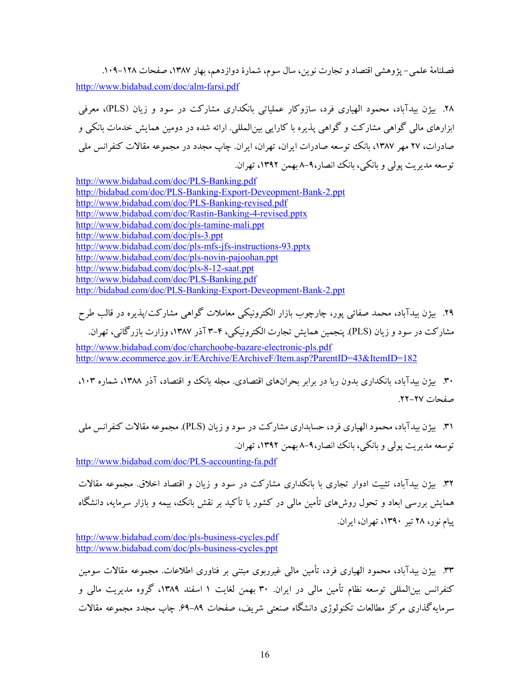فصلنامۀ علمی- پژوهشی اقتصاد و تجارت نوین، سال سوم، شمارۀ دوازدهم، بهار ۱۳۸۷، صفحات ۱۲۸–۱۰۹. <http://www.bidabad.com/doc/alm-farsi.pdf>

.28 بیژن بیدآباد، محمود الهیاري فرد، سازوکار عملیاتی بانکداري مشارکت در سود و زیان (PLS(، معرفی ابزارهاي مالی گواهی مشارکت و گواهی پذیره با کارایی بینالمللی. ارائه شده در دومین همایش خدمات بانکی و صادرات، ۲۷ مهر ۱۳۸۷، بانک توسعه صادرات ایران، تهران، ایران. چاپ مجدد در مجموعه مقالات کنفرانس ملی توسعه مدیریت پولی و بانکی، بانک انصار8-9، بهمن ،1392 تهران.

<http://www.bidabad.com/doc/PLS-Banking.pdf> <http://bidabad.com/doc/PLS-Banking-Export-Deveopment-Bank-2.ppt> <http://www.bidabad.com/doc/PLS-Banking-revised.pdf> <http://www.bidabad.com/doc/Rastin-Banking-4-revised.pptx> <http://www.bidabad.com/doc/pls-tamine-mali.ppt> <http://www.bidabad.com/doc/pls-3.ppt> <http://www.bidabad.com/doc/pls-mfs-jfs-instructions-93.pptx> <http://www.bidabad.com/doc/pls-novin-pajoohan.ppt> <http://www.bidabad.com/doc/pls-8-12-saat.ppt> <http://www.bidabad.com/doc/PLS-Banking.pdf> <http://bidabad.com/doc/PLS-Banking-Export-Deveopment-Bank-2.ppt>

.29 بیژن بیدآباد، محمد صفائی پور، چارچوب بازار الکترونیکی معاملات گواهی مشارکت/پذیره در قالب طرح مشارکت در سود و زیان (PLS(. پنجمین همایش تجارت الکترونیکی، 3-4 آذر ،1387 وزارت بازرگانی، تهران. <http://www.bidabad.com/doc/charchoobe-bazare-electronic-pls.pdf> <http://www.ecommerce.gov.ir/EArchive/EArchiveF/Item.asp?ParentID=43&ItemID=182>

.30 بیژن بیدآباد، بانکداري بدون ربا در برابر بحرانهاي اقتصادي. مجله بانک و اقتصاد، آذر ،1388 شماره ،103 صفحات .22-27

.31 بیژن بیدآباد، محمود الهیاري فرد، حسابداري مشارکت در سود و زیان (PLS(. مجموعه مقالات کنفرانس ملی توسعه مدیریت پولی و بانکی، بانک انصار8-9، بهمن ،1392 تهران.

<http://www.bidabad.com/doc/PLS-accounting-fa.pdf>

.32 بیژن بیدآباد، تثبیت ادوار تجاري با بانکداري مشارکت در سود و زیان و اقتصاد اخلاق. مجموعه مقالات همایش بررسی ابعاد و تحول روشهاي تأمین مالی در کشور با تأکید بر نقش بانک، بیمه و بازار سرمایه، دانشگاه پیام نور، 28 تیر ،1390 تهران، ایران.

<http://www.bidabad.com/doc/pls-business-cycles.pdf> <http://www.bidabad.com/doc/pls-business-cycles.ppt>

.33 بیژن بیدآباد، محمود الهیاري فرد، تأمین مالی غیرربوي مبتنی بر فناوري اطلاعات. مجموعه مقالات سومین کنفرانس بینالمللی توسعه نظام تأمین مالی در ایران. 30 بهمن لغایت 1 اسفند ،1389 گروه مدیریت مالی و سرمایهگذاري مرکز مطالعات تکنولوژي دانشگاه صنعتی شریف، صفحات .69-89 چاپ مجدد مجموعه مقالات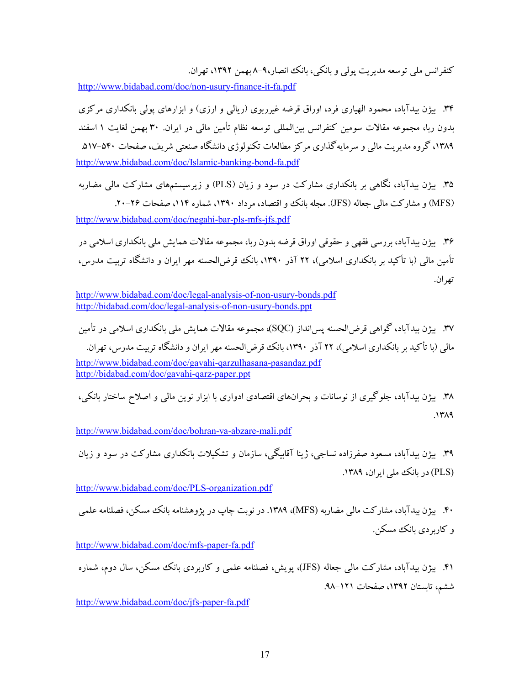کنفرانس ملی توسعه مدیریت پولی و بانکی، بانک انصار8-9، بهمن ،1392 تهران.

<http://www.bidabad.com/doc/non-usury-finance-it-fa.pdf>

.34 بیژن بیدآباد، محمود الهیاري فرد، اوراق قرضه غیرربوي (ریالی و ارزي) و ابزارهاي پولی بانکداري مرکزي بدون ربا، مجموعه مقالات سومین کنفرانس بینالمللی توسعه نظام تأمین مالی در ایران. 30 بهمن لغایت 1 اسفند ۱۳۸۹، گروه مدیریت مالی و سرمایهگذاری مرکز مطالعات تکنولوژی دانشگاه صنعتی شریف، صفحات ۵۲۰–۵۱۷. <http://www.bidabad.com/doc/Islamic-banking-bond-fa.pdf>

- .35 بیژن بیدآباد، نگاهی بر بانکداري مشارکت در سود و زیان (PLS (و زیرسیستمهاي مشارکت مالی مضاربه (MFS) و مشارکت مالی جعاله (JFS). مجله بانک و اقتصاد، مرداد ۱۳۹۰، شماره ۱۱۴، صفحات ۲۶-۲۰. <http://www.bidabad.com/doc/negahi-bar-pls-mfs-jfs.pdf>
- .36 بیژن بیدآباد، بررسی فقهی و حقوقی اوراق قرضه بدون ربا، مجموعه مقالات همایش ملی بانکداري اسلامی در تأمین مالی (با تأکید بر بانکداري اسلامی)، 22 آذر ،1390 بانک قرضالحسنه مهر ایران و دانشگاه تربیت مدرس، تهران.

- .37 بیژن بیدآباد، گواهی قرضالحسنه پسانداز (SQC(، مجموعه مقالات همایش ملی بانکداري اسلامی در تأمین مالی (با تأکید بر بانکداري اسلامی)، 22 آذر ،1390 بانک قرضالحسنه مهر ایران و دانشگاه تربیت مدرس، تهران. <http://www.bidabad.com/doc/gavahi-qarzulhasana-pasandaz.pdf> <http://bidabad.com/doc/gavahi-qarz-paper.ppt>
- .38 بیژن بیدآباد، جلوگیري از نوسانات و بحرانهاي اقتصادي ادواري با ابزار نوین مالی و اصلاح ساختار بانکی، .1389

<http://www.bidabad.com/doc/bohran-va-abzare-mali.pdf>

.39 بیژن بیدآباد، مسعود صفرزاده نساجی، ژینا آقابیگی، سازمان و تشکیلات بانکداري مشارکت در سود و زیان (PLS) در بانک ملی ایران، ۱۳۸۹.

<http://www.bidabad.com/doc/PLS-organization.pdf>

.40 بیژن بیدآباد، مشارکت مالی مضاربه (MFS(، .1389 در نوبت چاپ در پژوهشنامه بانک مسکن، فصلنامه علمی و کاربردي بانک مسکن.

<http://www.bidabad.com/doc/mfs-paper-fa.pdf>

.41 بیژن بیدآباد، مشارکت مالی جعاله (JFS(، پویش، فصلنامه علمی و کاربردي بانک مسکن، سال دوم، شماره ششم، تابستان ،1392 صفحات .98-121

<http://www.bidabad.com/doc/jfs-paper-fa.pdf>

<http://www.bidabad.com/doc/legal-analysis-of-non-usury-bonds.pdf> <http://bidabad.com/doc/legal-analysis-of-non-usury-bonds.ppt>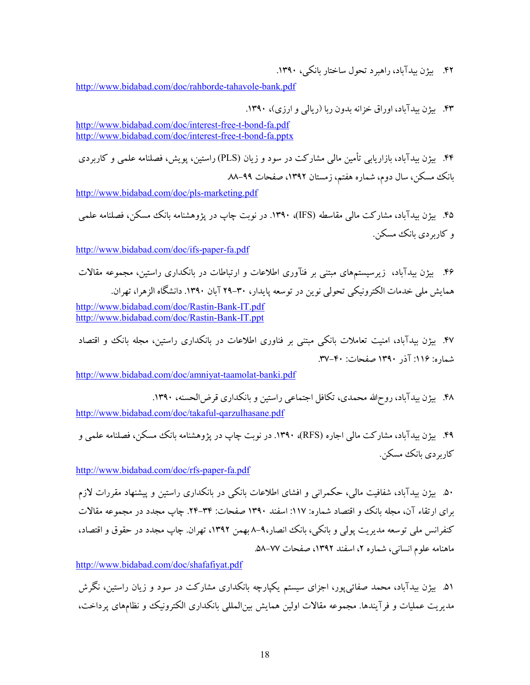.42 بیژن بیدآباد، راهبرد تحول ساختار بانکی، .1390

<http://www.bidabad.com/doc/rahborde-tahavole-bank.pdf>

.43 بیژن بیدآباد، اوراق خزانه بدون ربا (ریالی و ارزي)، .1390

<http://www.bidabad.com/doc/interest-free-t-bond-fa.pdf> <http://www.bidabad.com/doc/interest-free-t-bond-fa.pptx>

.44 بیژن بیدآباد، بازاریابی تأمین مالی مشارکت در سود و زیان (PLS (راستین، پویش، فصلنامه علمی و کاربردي بانک مسکن، سال دوم، شماره هفتم، زمستان ،1392 صفحات .88-99

<http://www.bidabad.com/doc/pls-marketing.pdf>

.45 بیژن بیدآباد، مشارکت مالی مقاسطه (IFS(، .1390 در نوبت چاپ در پژوهشنامه بانک مسکن، فصلنامه علمی و کاربردي بانک مسکن.

[http://www.bidabad.com/doc/ifs-paper-fa.pdf](http://www.bidabad.com/doc/ifs-paper-fa.pdf%20%0d%0d) 

.46 بیژن بیدآباد، زیرسیستمهاي مبتنی بر فنآوري اطلاعات و ارتباطات در بانکداري راستین، مجموعه مقالات همایش ملی خدمات الکترونیکی تحولی نوین در توسعه پایدار، 29-30 آبان .1390 دانشگاه الزهرا، تهران. <http://www.bidabad.com/doc/Rastin-Bank-IT.pdf>

<http://www.bidabad.com/doc/Rastin-Bank-IT.ppt>

.47 بیژن بیدآباد، امنیت تعاملات بانکی مبتنی بر فناوري اطلاعات در بانکداري راستین، مجله بانک و اقتصاد شماره: ۱۱۶: آذر ۱۳۹۰ صفحات: ۴۰-۳۷.

<http://www.bidabad.com/doc/amniyat-taamolat-banki.pdf>

.48 بیژن بیدآباد، روحاالله محمدي، تکافل اجتماعی راستین و بانکداري قرضالحسنه، .1390 <http://www.bidabad.com/doc/takaful-qarzulhasane.pdf>

.49 بیژن بیدآباد، مشارکت مالی اجاره (RFS(، .1390 در نوبت چاپ در پژوهشنامه بانک مسکن، فصلنامه علمی و کاربر دي بانک مسکن.

<http://www.bidabad.com/doc/rfs-paper-fa.pdf>

.50 بیژن بیدآباد، شفافیت مالی، حکمرانی و افشاي اطلاعات بانکی در بانکداري راستین و پیشنهاد مقررات لازم براي ارتقاء آن، مجله بانک و اقتصاد شماره: ١١٧: اسفند ١٣٩٠ صفحات: ٣٤-٢٤. چاپ مجدد در مجموعه مقالات کنفرانس ملی توسعه مدیریت پولی و بانکی، بانک انصار،۹-۸ بهمن ۱۳۹۲، تهران. چاپ مجدد در حقوق و اقتصاد، ماهنامه علوم انسانی، شماره ۲، اسفند ۱۳۹۲، صفحات ۷۷–۵۸.

<http://www.bidabad.com/doc/shafafiyat.pdf>

.51 بیژن بیدآباد، محمد صفائیپور، اجزاي سیستم یکپارچه بانکداري مشارکت در سود و زیان راستین، نگرش مدیریت عملیات و فرآیندها. مجموعه مقالات اولین همایش بینالمللی بانکداري الکترونیک و نظامهاي پرداخت،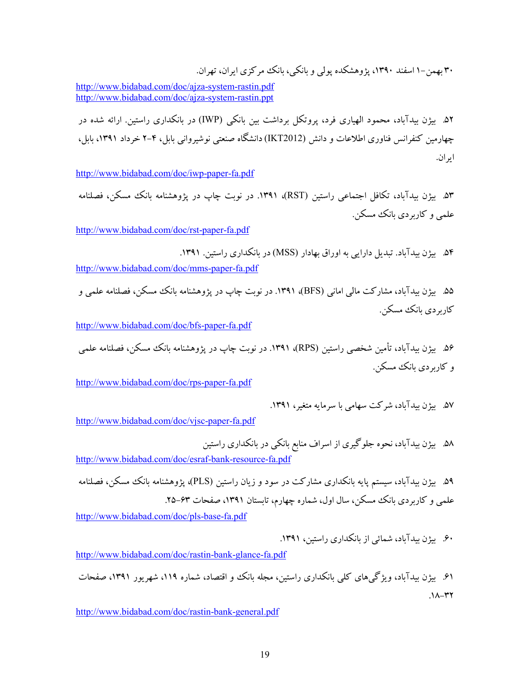30 بهمن1- اسفند ،1390 پژوهشکده پولی و بانکی، بانک مرکزي ایران، تهران.

<http://www.bidabad.com/doc/ajza-system-rastin.pdf> <http://www.bidabad.com/doc/ajza-system-rastin.ppt>

.52 بیژن بیدآباد، محمود الهیاري فرد، پروتکل برداشت بین بانکی (IWP (در بانکداري راستین. ارائه شده در چهارمین کنفرانس فناوري اطلاعات و دانش (2012IKT (دانشگاه صنعتی نوشیروانی بابل، 2-4 خرداد ،1391 بابل، ایران.

<http://www.bidabad.com/doc/iwp-paper-fa.pdf>

۵۳. بیژن بیدآباد، تکافل اجتماعی راستین (RST)، ۱۳۹۱. در نوبت چاپ در پژوهشنامه بانک مسکن، فصلنامه علمی و کاربردي بانک مسکن.

<http://www.bidabad.com/doc/rst-paper-fa.pdf>

.54 بیژن بیدآباد. تبدیل دارایی به اوراق بهادار (MSS (در بانکداري راستین. .1391 <http://www.bidabad.com/doc/mms-paper-fa.pdf>

۵۵. بیژن بیدآباد، مشارکت مالی امانی (BFS)، ۱۳۹۱. در نوبت چاپ در پژوهشنامه بانک مسکن، فصلنامه علمی و کاربر دي بانک مسکن.

<http://www.bidabad.com/doc/bfs-paper-fa.pdf>

.56 بیژن بیدآباد، تأمین شخصی راستین (RPS(، .1391 در نوبت چاپ در پژوهشنامه بانک مسکن، فصلنامه علمی و کاربردي بانک مسکن.

<http://www.bidabad.com/doc/rps-paper-fa.pdf>

.57 بیژن بیدآباد، شرکت سهامی با سرمایه متغیر، .1391

<http://www.bidabad.com/doc/vjsc-paper-fa.pdf>

.58 بیژن بیدآباد، نحوه جلوگیري از اسراف منابع بانکی در بانکداري راستین <http://www.bidabad.com/doc/esraf-bank-resource-fa.pdf>

.59 بیژن بیدآباد، سیستم پایه بانکداري مشارکت در سود و زیان راستین (PLS(، پژوهشنامه بانک مسکن، فصلنامه علمی و کاربردی بانک مسکن، سال اول، شماره چهارم، تابستان ۱۳۹۱، صفحات ۶۳-۲۵. <http://www.bidabad.com/doc/pls-base-fa.pdf>

.60 بیژن بیدآباد، شمائی از بانکداري راستین، .1391

[http://www.bidabad.com/doc/rastin-bank-glance-fa.pdf](http://www.bidabad.com/doc/rastin-bank-glance-fa.pdf%0d)

.61 بیژن بیدآباد، ویژگیهاي کلی بانکداري راستین، مجله بانک و اقتصاد، شماره ،119 شهریور ،1391 صفحات  $.1$  $-17$ 

<http://www.bidabad.com/doc/rastin-bank-general.pdf>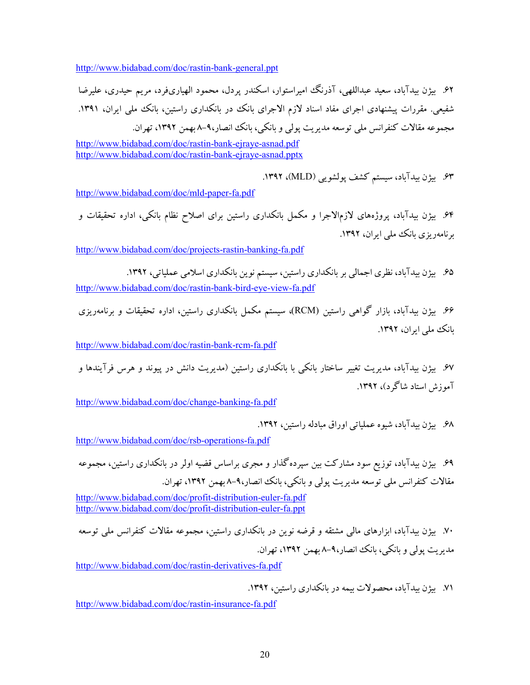<http://www.bidabad.com/doc/rastin-bank-general.ppt>

.62 بیژن بیدآباد، سعید عبداللهی، آذرنگ امیراستوار، اسکندر پردل، محمود الهیاريفرد، مریم حیدري، علیرضا شفیعی. مقررات پیشنهادی اجرای مفاد اسناد لازم الاجرای بانک در بانکداری راستین، بانک ملی ایران، ۱۳۹۱. مجموعه مقالات کنفرانس ملی توسعه مدیریت پولی و بانکی، بانک انصار8-9، بهمن ،1392 تهران.

<http://www.bidabad.com/doc/rastin-bank-ejraye-asnad.pdf> <http://www.bidabad.com/doc/rastin-bank-ejraye-asnad.pptx>

.63 بیژن بیدآباد، سیستم کشف پولشویی (MLD(، .1392

<http://www.bidabad.com/doc/mld-paper-fa.pdf>

.64 بیژن بیدآباد، پروژههاي لازمالاجرا و مکمل بانکداري راستین براي اصلاح نظام بانکی، اداره تحقیقات و برنامهریزي بانک ملی ایران، .1392

<http://www.bidabad.com/doc/projects-rastin-banking-fa.pdf>

.65 بیژن بیدآباد، نظري اجمالی بر بانکداري راستین، سیستم نوین بانکداري اسلامی عملیاتی، .1392 <http://www.bidabad.com/doc/rastin-bank-bird-eye-view-fa.pdf>

.66 بیژن بیدآباد، بازار گواهی راستین (RCM(، سیستم مکمل بانکداري راستین، اداره تحقیقات و برنامهریزي بانک ملی ایران، .1392

<http://www.bidabad.com/doc/rastin-bank-rcm-fa.pdf>

.67 بیژن بیدآباد، مدیریت تغییر ساختار بانکی با بانکداري راستین (مدیریت دانش در پیوند و هرس فرآیندها و آموزش استاد شاگرد)، .1392

<http://www.bidabad.com/doc/change-banking-fa.pdf>

.68 بیژن بیدآباد، شیوه عملیاتی اوراق مبادله راستین، .1392

<http://www.bidabad.com/doc/rsb-operations-fa.pdf>

.69 بیژن بیدآباد، توزیع سود مشارکت بین سپردهگذار و مجري براساس قضیه اولر در بانکداري راستین، مجموعه مقالات کنفرانس ملی توسعه مدیریت پولی و بانکی، بانک انصار8-9، بهمن ،1392 تهران.

<http://www.bidabad.com/doc/profit-distribution-euler-fa.pdf> <http://www.bidabad.com/doc/profit-distribution-euler-fa.ppt>

.70 بیژن بیدآباد، ابزارهاي مالی مشتقه و قرضه نوین در بانکداري راستین، مجموعه مقالات کنفرانس ملی توسعه مدیریت پولی و بانکی، بانک انصار8-9، بهمن ،1392 تهران.

<http://www.bidabad.com/doc/rastin-derivatives-fa.pdf>

.71 بیژن بیدآباد، محصولات بیمه در بانکداري راستین، .1392

<http://www.bidabad.com/doc/rastin-insurance-fa.pdf>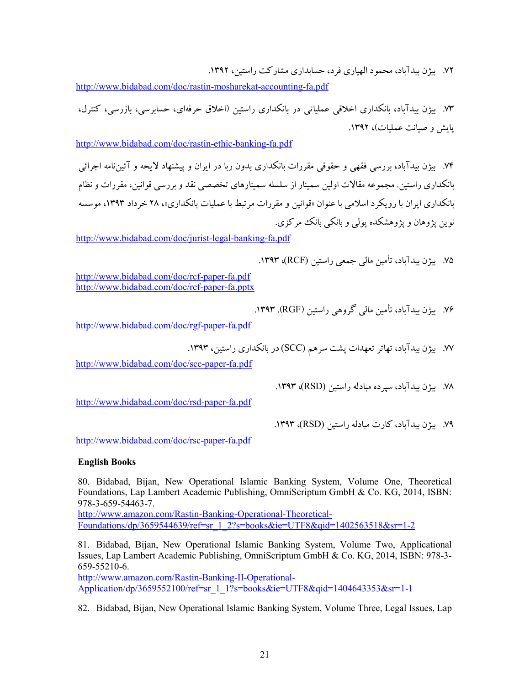.72 بیژن بیدآباد، محمود الهیاري فرد، حسابداري مشارکت راستین، .1392

<http://www.bidabad.com/doc/rastin-mosharekat-accounting-fa.pdf>

.73 بیژن بیدآباد، بانکداري اخلاقی عملیاتی در بانکداري راستین (اخلاق حرفهاي، حسابرسی، بازرسی، کنترل، پایش و صیانت عملیات)، .1392

<http://www.bidabad.com/doc/rastin-ethic-banking-fa.pdf>

.74 بیژن بیدآباد، بررسی فقهی و حقوقی مقررات بانکداري بدون ربا در ایران و پیشنهاد لایحه و آئیننامه اجرائی بانکداري راستین. مجموعه مقالات اولین سمینار از سلسله سمینارهاي تخصصی نقد و بررسی قوانین، مقررات و نظام بانکداري ایران با رویکرد اسلامی با عنوان «قوانین و مقررات مرتبط با عملیات بانکداري»، 28 خرداد ،1393 موسسه نوین پژوهان و پژوهشکده پولی و بانکی بانک مرکزي.

<http://www.bidabad.com/doc/jurist-legal-banking-fa.pdf>

.75 بیژن بیدآباد، تأمین مالی جمعی راستین (RCF(، .1393

<http://www.bidabad.com/doc/rcf-paper-fa.pdf> <http://www.bidabad.com/doc/rcf-paper-fa.pptx>

.76 بیژن بیدآباد، تأمین مالی گروهی راستین (RGF(. .1393

[http://www.bidabad.com/doc/rgf-paper-fa.pdf](http://www.bidabad.com/doc/rgf-paper-fa.pdf%20%0d) 

.77 بیژن بیدآباد، تهاتر تعهدات پشت سرهم (SCC (در بانکداري راستین، .1393

<http://www.bidabad.com/doc/scc-paper-fa.pdf>

.78 بیژن بیدآباد، سپرده مبادله راستین (RSD(، .1393

<http://www.bidabad.com/doc/rsd-paper-fa.pdf>

.79 بیژن بیدآباد، کارت مبادله راستین (RSD(، .1393

<http://www.bidabad.com/doc/rsc-paper-fa.pdf>

# **English Books**

80. Bidabad, Bijan, New Operational Islamic Banking System, Volume One, Theoretical Foundations, Lap Lambert Academic Publishing, OmniScriptum GmbH & Co. KG, 2014, ISBN: 978-3-659-54463-7.

[http://www.amazon.com/Rastin-Banking-Operational-Theoretical-](http://www.amazon.com/Rastin-Banking-Operational-Theoretical-Foundations/dp/3659544639/ref=sr_1_2?s=books&ie=UTF8&qid=1402563518&sr=1-2)[Foundations/dp/3659544639/ref=sr\\_1\\_2?s=books&ie=UTF8&qid=1402563518&sr=1-2](http://www.amazon.com/Rastin-Banking-Operational-Theoretical-Foundations/dp/3659544639/ref=sr_1_2?s=books&ie=UTF8&qid=1402563518&sr=1-2)

81. Bidabad, Bijan, New Operational Islamic Banking System, Volume Two, Applicational Issues, Lap Lambert Academic Publishing, OmniScriptum GmbH & Co. KG, 2014, ISBN: 978-3- 659-55210-6.

[http://www.amazon.com/Rastin-Banking-II-Operational-](http://www.amazon.com/Rastin-Banking-II-Operational-Application/dp/3659552100/ref=sr_1_1?s=books&ie=UTF8&qid=1404643353&sr=1-1)[Application/dp/3659552100/ref=sr\\_1\\_1?s=books&ie=UTF8&qid=1404643353&sr=1-1](http://www.amazon.com/Rastin-Banking-II-Operational-Application/dp/3659552100/ref=sr_1_1?s=books&ie=UTF8&qid=1404643353&sr=1-1)

82. Bidabad, Bijan, New Operational Islamic Banking System, Volume Three, Legal Issues, Lap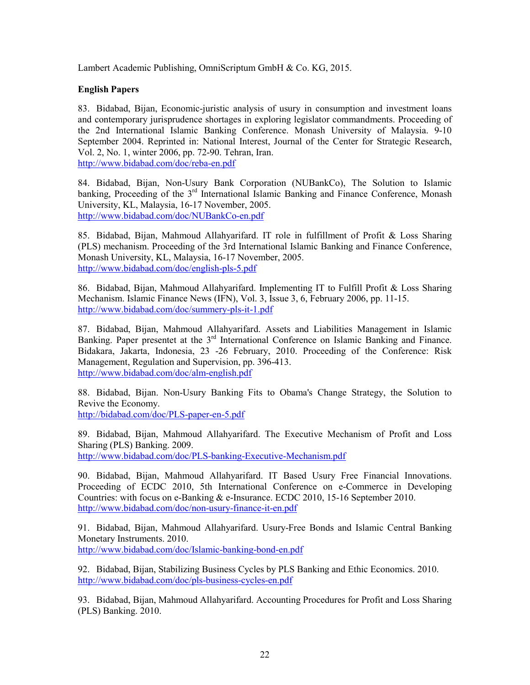Lambert Academic Publishing, OmniScriptum GmbH & Co. KG, 2015.

# **English Papers**

83. Bidabad, Bijan, Economic-juristic analysis of usury in consumption and investment loans and contemporary jurisprudence shortages in exploring legislator commandments. Proceeding of the 2nd International Islamic Banking Conference. Monash University of Malaysia. 9-10 September 2004. Reprinted in: National Interest, Journal of the Center for Strategic Research, Vol. 2, No. 1, winter 2006, pp. 72-90. Tehran, Iran. <http://www.bidabad.com/doc/reba-en.pdf>

84. Bidabad, Bijan, Non-Usury Bank Corporation (NUBankCo), The Solution to Islamic banking, Proceeding of the 3<sup>rd</sup> International Islamic Banking and Finance Conference, Monash University, KL, Malaysia, 16-17 November, 2005. <http://www.bidabad.com/doc/NUBankCo-en.pdf>

85. Bidabad, Bijan, Mahmoud Allahyarifard. IT role in fulfillment of Profit & Loss Sharing (PLS) mechanism. Proceeding of the 3rd International Islamic Banking and Finance Conference, Monash University, KL, Malaysia, 16-17 November, 2005. <http://www.bidabad.com/doc/english-pls-5.pdf>

86. Bidabad, Bijan, Mahmoud Allahyarifard. Implementing IT to Fulfill Profit & Loss Sharing Mechanism. Islamic Finance News (IFN), Vol. 3, Issue 3, 6, February 2006, pp. 11-15. <http://www.bidabad.com/doc/summery-pls-it-1.pdf>

87. Bidabad, Bijan, Mahmoud Allahyarifard. Assets and Liabilities Management in Islamic Banking. Paper presentet at the 3<sup>rd</sup> International Conference on Islamic Banking and Finance. Bidakara, Jakarta, Indonesia, 23 -26 February, 2010. Proceeding of the Conference: Risk Management, Regulation and Supervision, pp. 396-413. <http://www.bidabad.com/doc/alm-english.pdf>

88. Bidabad, Bijan. Non-Usury Banking Fits to Obama's Change Strategy, the Solution to Revive the Economy.

<http://bidabad.com/doc/PLS-paper-en-5.pdf>

89. Bidabad, Bijan, Mahmoud Allahyarifard. The Executive Mechanism of Profit and Loss Sharing (PLS) Banking. 2009.

<http://www.bidabad.com/doc/PLS-banking-Executive-Mechanism.pdf>

90. Bidabad, Bijan, Mahmoud Allahyarifard. IT Based Usury Free Financial Innovations. Proceeding of ECDC 2010, 5th International Conference on e-Commerce in Developing Countries: with focus on e-Banking & e-Insurance. ECDC 2010, 15-16 September 2010. <http://www.bidabad.com/doc/non-usury-finance-it-en.pdf>

91. Bidabad, Bijan, Mahmoud Allahyarifard. Usury-Free Bonds and Islamic Central Banking Monetary Instruments. 2010. <http://www.bidabad.com/doc/Islamic-banking-bond-en.pdf>

92. Bidabad, Bijan, Stabilizing Business Cycles by PLS Banking and Ethic Economics. 2010. <http://www.bidabad.com/doc/pls-business-cycles-en.pdf>

93. Bidabad, Bijan, Mahmoud Allahyarifard. Accounting Procedures for Profit and Loss Sharing (PLS) Banking. 2010.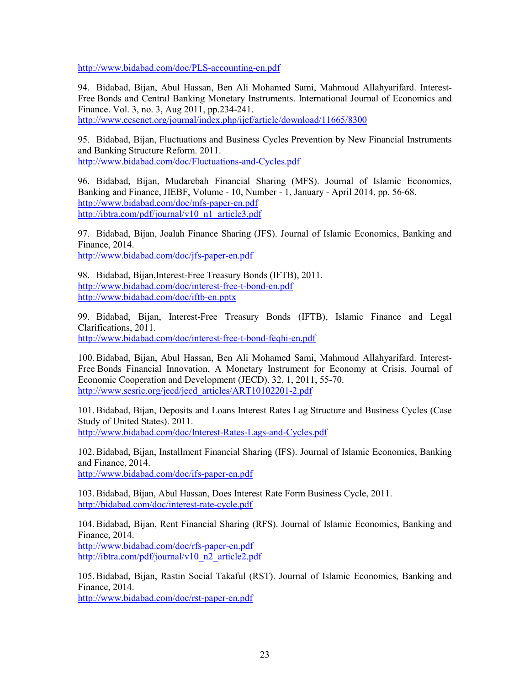<http://www.bidabad.com/doc/PLS-accounting-en.pdf>

94. Bidabad, Bijan, Abul Hassan, Ben Ali Mohamed Sami, Mahmoud Allahyarifard. Interest-Free Bonds and Central Banking Monetary Instruments. International Journal of Economics and Finance. Vol. 3, no. 3, Aug 2011, pp.234-241.

<http://www.ccsenet.org/journal/index.php/ijef/article/download/11665/8300>

95. Bidabad, Bijan, Fluctuations and Business Cycles Prevention by New Financial Instruments and Banking Structure Reform. 2011. <http://www.bidabad.com/doc/Fluctuations-and-Cycles.pdf>

96. Bidabad, Bijan, Mudarebah Financial Sharing (MFS). Journal of Islamic Economics, Banking and Finance, JIEBF, Volume - 10, Number - 1, January - April 2014, pp. 56-68. <http://www.bidabad.com/doc/mfs-paper-en.pdf> [http://ibtra.com/pdf/journal/v10\\_n1\\_article3.pdf](http://ibtra.com/pdf/journal/v10_n1_article3.pdf)

97. Bidabad, Bijan, Joalah Finance Sharing (JFS). Journal of Islamic Economics, Banking and Finance, 2014.

<http://www.bidabad.com/doc/jfs-paper-en.pdf>

98. Bidabad, Bijan,Interest-Free Treasury Bonds (IFTB), 2011. <http://www.bidabad.com/doc/interest-free-t-bond-en.pdf> <http://www.bidabad.com/doc/iftb-en.pptx>

99. Bidabad, Bijan, Interest-Free Treasury Bonds (IFTB), Islamic Finance and Legal Clarifications, 2011. <http://www.bidabad.com/doc/interest-free-t-bond-feqhi-en.pdf>

100. Bidabad, Bijan, Abul Hassan, Ben Ali Mohamed Sami, Mahmoud Allahyarifard. Interest-Free Bonds Financial Innovation, A Monetary Instrument for Economy at Crisis. Journal of Economic Cooperation and Development (JECD). 32, 1, 2011, 55-70. [http://www.sesric.org/jecd/jecd\\_articles/ART10102201-2.pdf](http://www.sesric.org/jecd/jecd_articles/ART10102201-2.pdf)

101. Bidabad, Bijan, Deposits and Loans Interest Rates Lag Structure and Business Cycles (Case Study of United States). 2011. <http://www.bidabad.com/doc/Interest-Rates-Lags-and-Cycles.pdf>

102. Bidabad, Bijan, Installment Financial Sharing (IFS). Journal of Islamic Economics, Banking and Finance, 2014.

<http://www.bidabad.com/doc/ifs-paper-en.pdf>

103. Bidabad, Bijan, Abul Hassan, Does Interest Rate Form Business Cycle, 2011. <http://bidabad.com/doc/interest-rate-cycle.pdf>

104. Bidabad, Bijan, Rent Financial Sharing (RFS). Journal of Islamic Economics, Banking and Finance, 2014.

<http://www.bidabad.com/doc/rfs-paper-en.pdf> [http://ibtra.com/pdf/journal/v10\\_n2\\_article2.pdf](http://ibtra.com/pdf/journal/v10_n2_article2.pdf)

105. Bidabad, Bijan, Rastin Social Takaful (RST). Journal of Islamic Economics, Banking and Finance, 2014.

<http://www.bidabad.com/doc/rst-paper-en.pdf>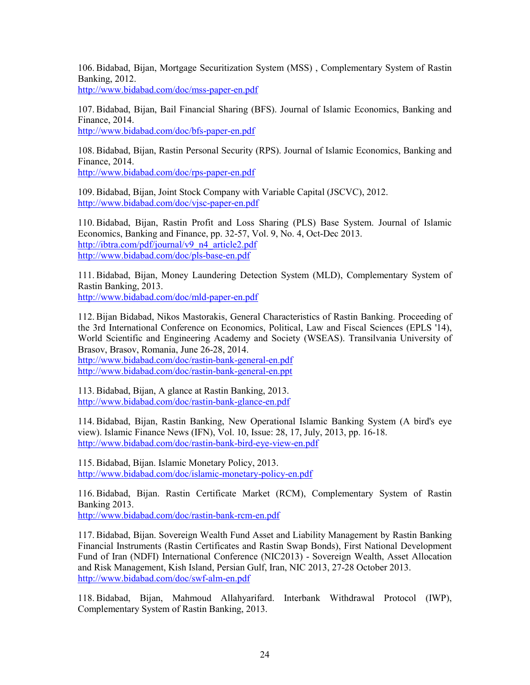106. Bidabad, Bijan, Mortgage Securitization System (MSS) , Complementary System of Rastin Banking, 2012.

<http://www.bidabad.com/doc/mss-paper-en.pdf>

107. Bidabad, Bijan, Bail Financial Sharing (BFS). Journal of Islamic Economics, Banking and Finance, 2014.

[http://www.bidabad.com/doc/bfs-paper-en.pdf](http://www.bidabad.com/doc/bfs-paper-en.pdf%20%0d) 

108. Bidabad, Bijan, Rastin Personal Security (RPS). Journal of Islamic Economics, Banking and Finance, 2014.

<http://www.bidabad.com/doc/rps-paper-en.pdf>

109. Bidabad, Bijan, Joint Stock Company with Variable Capital (JSCVC), 2012. <http://www.bidabad.com/doc/vjsc-paper-en.pdf>

110. Bidabad, Bijan, Rastin Profit and Loss Sharing (PLS) Base System. Journal of Islamic Economics, Banking and Finance, pp. 32-57, Vol. 9, No. 4, Oct-Dec 2013. [http://ibtra.com/pdf/journal/v9\\_n4\\_article2.pdf](http://ibtra.com/pdf/journal/v9_n4_article2.pdf) [http://www.bidabad.com/doc/pls-base-en.pdf](http://www.bidabad.com/doc/pls-base-en.pdf%20%0d) 

111. Bidabad, Bijan, Money Laundering Detection System (MLD), Complementary System of Rastin Banking, 2013. <http://www.bidabad.com/doc/mld-paper-en.pdf>

112. Bijan Bidabad, Nikos Mastorakis, General Characteristics of Rastin Banking. Proceeding of the 3rd International Conference on Economics, Political, Law and Fiscal Sciences (EPLS '14), World Scientific and Engineering Academy and Society (WSEAS). Transilvania University of Brasov, Brasov, Romania, June 26-28, 2014.

<http://www.bidabad.com/doc/rastin-bank-general-en.pdf> <http://www.bidabad.com/doc/rastin-bank-general-en.ppt>

113. Bidabad, Bijan, A glance at Rastin Banking, 2013. <http://www.bidabad.com/doc/rastin-bank-glance-en.pdf>

114. Bidabad, Bijan, Rastin Banking, New Operational Islamic Banking System (A bird's eye view). Islamic Finance News (IFN), Vol. 10, Issue: 28, 17, July, 2013, pp. 16-18. <http://www.bidabad.com/doc/rastin-bank-bird-eye-view-en.pdf>

115. Bidabad, Bijan. Islamic Monetary Policy, 2013. <http://www.bidabad.com/doc/islamic-monetary-policy-en.pdf>

116. Bidabad, Bijan. Rastin Certificate Market (RCM), Complementary System of Rastin Banking 2013.

<http://www.bidabad.com/doc/rastin-bank-rcm-en.pdf>

117. Bidabad, Bijan. Sovereign Wealth Fund Asset and Liability Management by Rastin Banking Financial Instruments (Rastin Certificates and Rastin Swap Bonds), First National Development Fund of Iran (NDFI) International Conference (NIC2013) - Sovereign Wealth, Asset Allocation and Risk Management, Kish Island, Persian Gulf, Iran, NIC 2013, 27-28 October 2013. <http://www.bidabad.com/doc/swf-alm-en.pdf>

118. Bidabad, Bijan, Mahmoud Allahyarifard. Interbank Withdrawal Protocol (IWP), Complementary System of Rastin Banking, 2013.